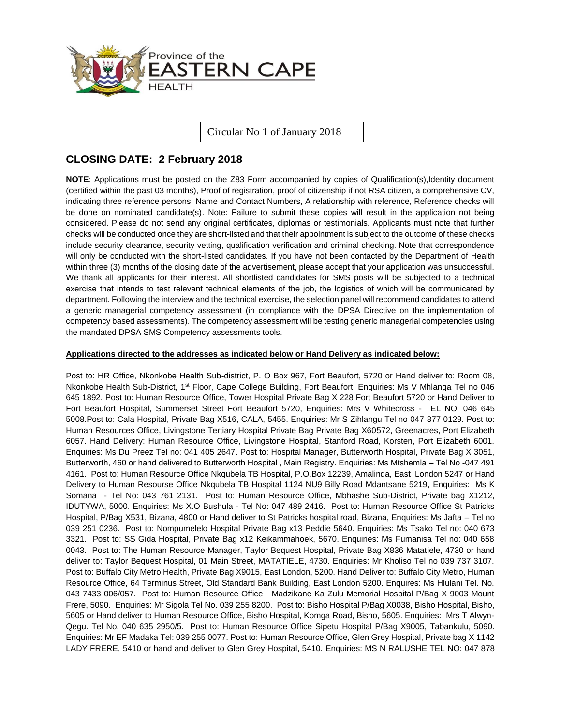

Circular No 1 of January 2018

# **CLOSING DATE: 2 February 2018**

**NOTE:** Applications must be posted on the Z83 Form accompanied by copies of Qualification(s), Identity document (certified within the past 03 months), Proof of registration, proof of citizenship if not RSA citizen, a comprehensive CV, indicating three reference persons: Name and Contact Numbers, A relationship with reference, Reference checks will be done on nominated candidate(s). Note: Failure to submit these copies will result in the application not being considered. Please do not send any original certificates, diplomas or testimonials. Applicants must note that further checks will be conducted once they are short-listed and that their appointment is subject to the outcome of these checks include security clearance, security vetting, qualification verification and criminal checking. Note that correspondence will only be conducted with the short-listed candidates. If you have not been contacted by the Department of Health within three (3) months of the closing date of the advertisement, please accept that your application was unsuccessful. We thank all applicants for their interest. All shortlisted candidates for SMS posts will be subjected to a technical exercise that intends to test relevant technical elements of the job, the logistics of which will be communicated by department. Following the interview and the technical exercise, the selection panel will recommend candidates to attend a generic managerial competency assessment (in compliance with the DPSA Directive on the implementation of competency based assessments). The competency assessment will be testing generic managerial competencies using the mandated DPSA SMS Competency assessments tools.

### **Applications directed to the addresses as indicated below or Hand Delivery as indicated below:**

Post to: HR Office, Nkonkobe Health Sub-district, P. O Box 967, Fort Beaufort, 5720 or Hand deliver to: Room 08, Nkonkobe Health Sub-District, 1st Floor, Cape College Building, Fort Beaufort. Enquiries: Ms V Mhlanga Tel no 046 645 1892. Post to: Human Resource Office, Tower Hospital Private Bag X 228 Fort Beaufort 5720 or Hand Deliver to Fort Beaufort Hospital, Summerset Street Fort Beaufort 5720, Enquiries: Mrs V Whitecross - TEL NO: 046 645 5008.Post to: Cala Hospital, Private Bag X516, CALA, 5455. Enquiries: Mr S Zihlangu Tel no 047 877 0129. Post to: Human Resources Office, Livingstone Tertiary Hospital Private Bag Private Bag X60572, Greenacres, Port Elizabeth 6057. Hand Delivery: Human Resource Office, Livingstone Hospital, Stanford Road, Korsten, Port Elizabeth 6001. Enquiries: Ms Du Preez Tel no: 041 405 2647. Post to: Hospital Manager, Butterworth Hospital, Private Bag X 3051, Butterworth, 460 or hand delivered to Butterworth Hospital , Main Registry. Enquiries: Ms Mtshemla – Tel No -047 491 4161. Post to: Human Resource Office Nkqubela TB Hospital, P.O.Box 12239, Amalinda, East London 5247 or Hand Delivery to Human Resourse Office Nkqubela TB Hospital 1124 NU9 Billy Road Mdantsane 5219, Enquiries: Ms K Somana - Tel No: 043 761 2131. Post to: Human Resource Office, Mbhashe Sub-District, Private bag X1212, IDUTYWA, 5000. Enquiries: Ms X.O Bushula - Tel No: 047 489 2416. Post to: Human Resource Office St Patricks Hospital, P/Bag X531, Bizana, 4800 or Hand deliver to St Patricks hospital road, Bizana, Enquiries: Ms Jafta – [Tel no](Tel:039)  [039](Tel:039) 251 0236. Post to: Nompumelelo Hospital Private Bag x13 Peddie 5640. Enquiries: Ms Tsako Tel no: 040 673 3321. Post to: SS Gida Hospital, Private Bag x12 Keikammahoek, 5670. Enquiries: Ms Fumanisa Tel no: 040 658 0043. Post to: The Human Resource Manager, Taylor Bequest Hospital, Private Bag X836 Matatiele, 4730 or hand deliver to: Taylor Bequest Hospital, 01 Main Street, MATATIELE, 4730. Enquiries: Mr Kholiso Tel no 039 737 3107. Post to: Buffalo City Metro Health, Private Bag X9015, East London, 5200. Hand Deliver to: Buffalo City Metro, Human Resource Office, 64 Terminus Street, Old Standard Bank Building, East London 5200. Enquires: Ms Hlulani Tel. No. 043 7433 006/057. Post to: Human Resource Office Madzikane Ka Zulu Memorial Hospital P/Bag X 9003 Mount Frere, 5090. Enquiries: Mr Sigola Tel No. 039 255 8200. Post to: Bisho Hospital P/Bag X0038, Bisho Hospital, Bisho, 5605 or Hand deliver to Human Resource Office, Bisho Hospital, Komga Road, Bisho, 5605. Enquiries: Mrs T Alwyn-Qegu. Tel No. 040 635 2950/5. Post to: Human Resource Office Sipetu Hospital P/Bag X9005, Tabankulu, 5090. Enquiries: Mr EF Madaka Tel: 039 255 0077. Post to: Human Resource Office, Glen Grey Hospital, Private bag X 1142 LADY FRERE, 5410 or hand and deliver to Glen Grey Hospital, 5410. Enquiries: MS N RALUSHE TEL NO: 047 878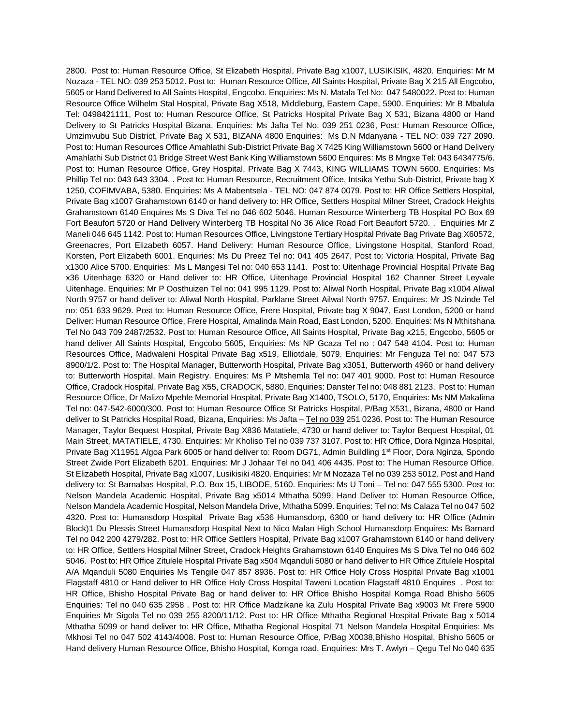2800. Post to: Human Resource Office, St Elizabeth Hospital, Private Bag x1007, LUSIKISIK, 4820. Enquiries: Mr M Nozaza - TEL NO: 039 253 5012. Post to: Human Resource Office, All Saints Hospital, Private Bag X 215 All Engcobo, 5605 or Hand Delivered to All Saints Hospital, Engcobo. Enquiries: Ms N. Matala Tel No: 047 5480022. Post to: Human Resource Office Wilhelm Stal Hospital, Private Bag X518, Middleburg, Eastern Cape, 5900. Enquiries: Mr B Mbalula Tel: 0498421111, Post to: Human Resource Office, St Patricks Hospital Private Bag X 531, Bizana 4800 or Hand Delivery to St Patricks Hospital Bizana. Enquiries: Ms Jafta Tel No. 039 251 0236, Post: Human Resource Office, Umzimvubu Sub District, Private Bag X 531, BIZANA 4800 Enquiries: Ms D.N Mdanyana - TEL NO: 039 727 2090. Post to: Human Resources Office Amahlathi Sub-District Private Bag X 7425 King Williamstown 5600 or Hand Delivery Amahlathi Sub District 01 Bridge Street West Bank King Williamstown 5600 Enquires: Ms B Mngxe Tel: 043 6434775/6. Post to: Human Resource Office, Grey Hospital, Private Bag X 7443, KING WILLIAMS TOWN 5600. Enquiries: Ms Phillip Tel no: 043 643 3304. . Post to: Human Resource, Recruitment Office, Intsika Yethu Sub-District, Private bag X 1250, COFIMVABA, 5380. Enquiries: Ms A Mabentsela - TEL NO: 047 874 0079. Post to: HR Office Settlers Hospital, Private Bag x1007 Grahamstown 6140 or hand delivery to: HR Office, Settlers Hospital Milner Street, Cradock Heights Grahamstown 6140 Enquires Ms S Diva Tel no 046 602 5046. Human Resource Winterberg TB Hospital PO Box 69 Fort Beaufort 5720 or Hand Delivery Winterberg TB Hospital No 36 Alice Road Fort Beaufort 5720. . Enquiries Mr Z Maneli 046 645 1142. Post to: Human Resources Office, Livingstone Tertiary Hospital Private Bag Private Bag X60572, Greenacres, Port Elizabeth 6057. Hand Delivery: Human Resource Office, Livingstone Hospital, Stanford Road, Korsten, Port Elizabeth 6001. Enquiries: Ms Du Preez Tel no: 041 405 2647. Post to: Victoria Hospital, Private Bag x1300 Alice 5700. Enquiries: Ms L Mangesi Tel no: 040 653 1141. Post to: Uitenhage Provincial Hospital Private Bag x36 Uitenhage 6320 or Hand deliver to: HR Office, Uitenhage Provincial Hospital 162 Channer Street Leyvale Uitenhage. Enquiries: Mr P Oosthuizen Tel no: 041 995 1129. Post to: Aliwal North Hospital, Private Bag x1004 Aliwal North 9757 or hand deliver to: Aliwal North Hospital, Parklane Street Ailwal North 9757. Enquires: Mr JS Nzinde Tel no: 051 633 9629. Post to: Human Resource Office, Frere Hospital, Private bag X 9047, East London, 5200 or hand Deliver: Human Resource Office, Frere Hospital, Amalinda Main Road, East London, 5200. Enquiries: Ms N Mthitshana Tel No 043 709 2487/2532. Post to: Human Resource Office, All Saints Hospital, Private Bag x215, Engcobo, 5605 or hand deliver All Saints Hospital, Engcobo 5605, Enquiries: Ms NP Gcaza Tel no : 047 548 4104. Post to: Human Resources Office, Madwaleni Hospital Private Bag x519, Elliotdale, 5079. Enquiries: Mr Fenguza Tel no: 047 573 8900/1/2. Post to: The Hospital Manager, Butterworth Hospital, Private Bag x3051, Butterworth 4960 or hand delivery to: Butterworth Hospital, Main Registry. Enquires: Ms P Mtshemla Tel no: 047 401 9000. Post to: Human Resource Office, Cradock Hospital, Private Bag X55, CRADOCK, 5880, Enquiries: Danster Tel no: 048 881 2123. Post to: Human Resource Office, Dr Malizo Mpehle Memorial Hospital, Private Bag X1400, TSOLO, 5170, Enquiries: Ms NM Makalima Tel no: 047-542-6000/300. Post to: Human Resource Office St Patricks Hospital, P/Bag X531, Bizana, 4800 or Hand deliver to St Patricks Hospital Road, Bizana, Enquiries: Ms Jafta – [Tel no 039](Tel:039) 251 0236. Post to: The Human Resource Manager, Taylor Bequest Hospital, Private Bag X836 Matatiele, 4730 or hand deliver to: Taylor Bequest Hospital, 01 Main Street, MATATIELE, 4730. Enquiries: Mr Kholiso Tel no 039 737 3107. Post to: HR Office, Dora Nginza Hospital, Private Bag X11951 Algoa Park 6005 or hand deliver to: Room DG71, Admin Buildling 1st Floor, Dora Nginza, Spondo Street Zwide Port Elizabeth 6201. Enquiries: Mr J Johaar Tel no 041 406 4435. Post to: The Human Resource Office, St Elizabeth Hospital, Private Bag x1007, Lusikisiki 4820. Enquiries: Mr M Nozaza Tel no 039 253 5012. Post and Hand delivery to: St Barnabas Hospital, P.O. Box 15, LIBODE, 5160. Enquiries: Ms U Toni – Tel no: 047 555 5300. Post to: Nelson Mandela Academic Hospital, Private Bag x5014 Mthatha 5099. Hand Deliver to: Human Resource Office, Nelson Mandela Academic Hospital, Nelson Mandela Drive, Mthatha 5099. Enquiries: Tel no: Ms Calaza Tel no 047 502 4320. Post to: Humansdorp Hospital Private Bag x536 Humansdorp, 6300 or hand delivery to: HR Office (Admin Block)1 Du Plessis Street Humansdorp Hospital Next to Nico Malan High School Humansdorp Enquires: Ms Barnard Tel no 042 200 4279/282. Post to: HR Office Settlers Hospital, Private Bag x1007 Grahamstown 6140 or hand delivery to: HR Office, Settlers Hospital Milner Street, Cradock Heights Grahamstown 6140 Enquires Ms S Diva Tel no 046 602 5046. Post to: HR Office Zitulele Hospital Private Bag x504 Mqanduli 5080 or hand deliver to HR Office Zitulele Hospital A/A Mqanduli 5080 Enquiries Ms Tengile 047 857 8936. Post to: HR Office Holy Cross Hospital Private Bag x1001 Flagstaff 4810 or Hand deliver to HR Office Holy Cross Hospital Taweni Location Flagstaff 4810 Enquires . Post to: HR Office, Bhisho Hospital Private Bag or hand deliver to: HR Office Bhisho Hospital Komga Road Bhisho 5605 Enquiries: Tel no 040 635 2958 . Post to: HR Office Madzikane ka Zulu Hospital Private Bag x9003 Mt Frere 5900 Enquiries Mr Sigola Tel no 039 255 8200/11/12. Post to: HR Office Mthatha Regional Hospital Private Bag x 5014 Mthatha 5099 or hand deliver to: HR Office, Mthatha Regional Hospital 71 Nelson Mandela Hospital Enquiries: Ms Mkhosi Tel no 047 502 4143/4008. Post to: Human Resource Office, P/Bag X0038,Bhisho Hospital, Bhisho 5605 or Hand delivery Human Resource Office, Bhisho Hospital, Komga road, Enquiries: Mrs T. Awlyn – Qegu Tel No 040 635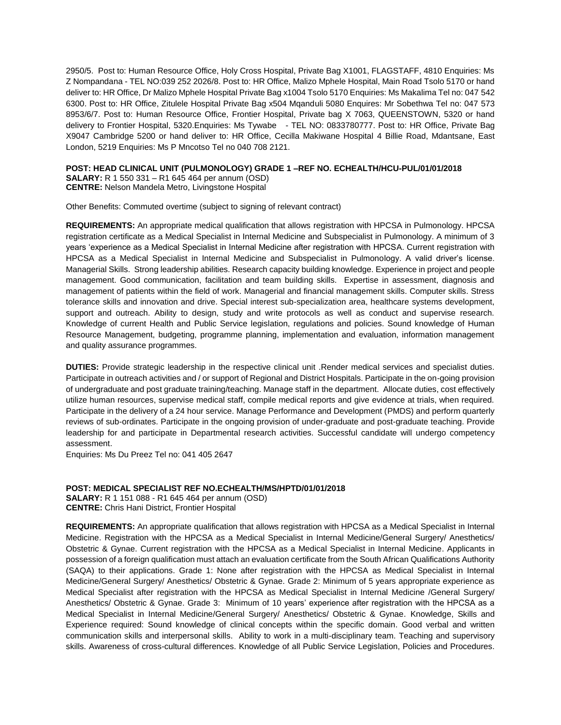2950/5. Post to: Human Resource Office, Holy Cross Hospital, Private Bag X1001, FLAGSTAFF, 4810 Enquiries: Ms Z Nompandana - TEL NO:039 252 2026/8. Post to: HR Office, Malizo Mphele Hospital, Main Road Tsolo 5170 or hand deliver to: HR Office, Dr Malizo Mphele Hospital Private Bag x1004 Tsolo 5170 Enquiries: Ms Makalima Tel no: 047 542 6300. Post to: HR Office, Zitulele Hospital Private Bag x504 Mqanduli 5080 Enquires: Mr Sobethwa Tel no: 047 573 8953/6/7. Post to: Human Resource Office, Frontier Hospital, Private bag X 7063, QUEENSTOWN, 5320 or hand delivery to Frontier Hospital, 5320.Enquiries: Ms Tywabe - TEL NO: 0833780777. Post to: HR Office, Private Bag X9047 Cambridge 5200 or hand deliver to: HR Office, Cecilla Makiwane Hospital 4 Billie Road, Mdantsane, East London, 5219 Enquiries: Ms P Mncotso Tel no 040 708 2121.

# **POST: HEAD CLINICAL UNIT (PULMONOLOGY) GRADE 1 –REF NO. ECHEALTH/HCU-PUL/01/01/2018 SALARY:** R 1 550 331 – R1 645 464 per annum (OSD)

**CENTRE:** Nelson Mandela Metro, Livingstone Hospital

Other Benefits: Commuted overtime (subject to signing of relevant contract)

**REQUIREMENTS:** An appropriate medical qualification that allows registration with HPCSA in Pulmonology. HPCSA registration certificate as a Medical Specialist in Internal Medicine and Subspecialist in Pulmonology. A minimum of 3 years 'experience as a Medical Specialist in Internal Medicine after registration with HPCSA. Current registration with HPCSA as a Medical Specialist in Internal Medicine and Subspecialist in Pulmonology. A valid driver's license. Managerial Skills. Strong leadership abilities. Research capacity building knowledge. Experience in project and people management. Good communication, facilitation and team building skills. Expertise in assessment, diagnosis and management of patients within the field of work. Managerial and financial management skills. Computer skills. Stress tolerance skills and innovation and drive. Special interest sub-specialization area, healthcare systems development, support and outreach. Ability to design, study and write protocols as well as conduct and supervise research. Knowledge of current Health and Public Service legislation, regulations and policies. Sound knowledge of Human Resource Management, budgeting, programme planning, implementation and evaluation, information management and quality assurance programmes.

**DUTIES:** Provide strategic leadership in the respective clinical unit .Render medical services and specialist duties. Participate in outreach activities and / or support of Regional and District Hospitals. Participate in the on-going provision of undergraduate and post graduate training/teaching. Manage staff in the department. Allocate duties, cost effectively utilize human resources, supervise medical staff, compile medical reports and give evidence at trials, when required. Participate in the delivery of a 24 hour service. Manage Performance and Development (PMDS) and perform quarterly reviews of sub-ordinates. Participate in the ongoing provision of under-graduate and post-graduate teaching. Provide leadership for and participate in Departmental research activities. Successful candidate will undergo competency assessment.

Enquiries: Ms Du Preez Tel no: 041 405 2647

# **POST: MEDICAL SPECIALIST REF NO.ECHEALTH/MS/HPTD/01/01/2018**

**SALARY:** R 1 151 088 - R1 645 464 per annum (OSD) **CENTRE:** Chris Hani District, Frontier Hospital

**REQUIREMENTS:** An appropriate qualification that allows registration with HPCSA as a Medical Specialist in Internal Medicine. Registration with the HPCSA as a Medical Specialist in Internal Medicine/General Surgery/ Anesthetics/ Obstetric & Gynae. Current registration with the HPCSA as a Medical Specialist in Internal Medicine. Applicants in possession of a foreign qualification must attach an evaluation certificate from the South African Qualifications Authority (SAQA) to their applications. Grade 1: None after registration with the HPCSA as Medical Specialist in Internal Medicine/General Surgery/ Anesthetics/ Obstetric & Gynae. Grade 2: Minimum of 5 years appropriate experience as Medical Specialist after registration with the HPCSA as Medical Specialist in Internal Medicine /General Surgery/ Anesthetics/ Obstetric & Gynae. Grade 3: Minimum of 10 years' experience after registration with the HPCSA as a Medical Specialist in Internal Medicine/General Surgery/ Anesthetics/ Obstetric & Gynae. Knowledge, Skills and Experience required: Sound knowledge of clinical concepts within the specific domain. Good verbal and written communication skills and interpersonal skills. Ability to work in a multi-disciplinary team. Teaching and supervisory skills. Awareness of cross-cultural differences. Knowledge of all Public Service Legislation, Policies and Procedures.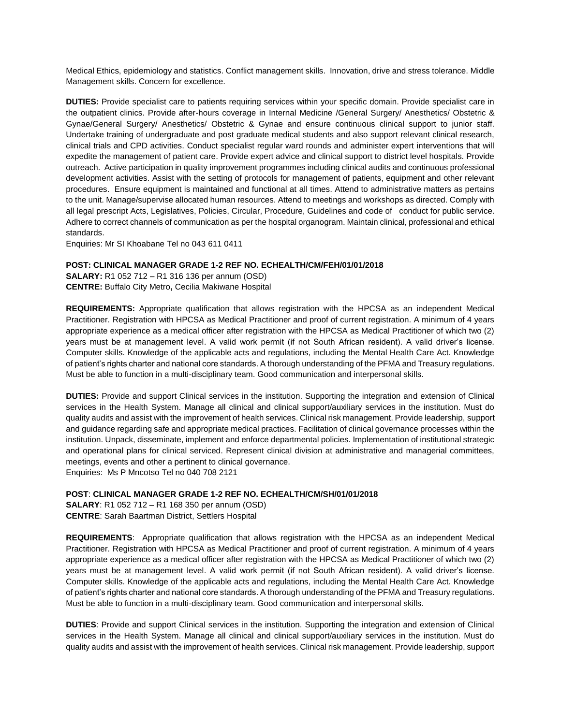Medical Ethics, epidemiology and statistics. Conflict management skills. Innovation, drive and stress tolerance. Middle Management skills. Concern for excellence.

**DUTIES:** Provide specialist care to patients requiring services within your specific domain. Provide specialist care in the outpatient clinics. Provide after-hours coverage in Internal Medicine /General Surgery/ Anesthetics/ Obstetric & Gynae/General Surgery/ Anesthetics/ Obstetric & Gynae and ensure continuous clinical support to junior staff. Undertake training of undergraduate and post graduate medical students and also support relevant clinical research, clinical trials and CPD activities. Conduct specialist regular ward rounds and administer expert interventions that will expedite the management of patient care. Provide expert advice and clinical support to district level hospitals. Provide outreach. Active participation in quality improvement programmes including clinical audits and continuous professional development activities. Assist with the setting of protocols for management of patients, equipment and other relevant procedures. Ensure equipment is maintained and functional at all times. Attend to administrative matters as pertains to the unit. Manage/supervise allocated human resources. Attend to meetings and workshops as directed. Comply with all legal prescript Acts, Legislatives, Policies, Circular, Procedure, Guidelines and code of conduct for public service. Adhere to correct channels of communication as per the hospital organogram. Maintain clinical, professional and ethical standards.

Enquiries: Mr SI Khoabane Tel no 043 611 0411

### **POST: CLINICAL MANAGER GRADE 1-2 REF NO. ECHEALTH/CM/FEH/01/01/2018**

**SALARY:** R1 052 712 – R1 316 136 per annum (OSD) **CENTRE:** Buffalo City Metro**,** Cecilia Makiwane Hospital

**REQUIREMENTS:** Appropriate qualification that allows registration with the HPCSA as an independent Medical Practitioner. Registration with HPCSA as Medical Practitioner and proof of current registration. A minimum of 4 years appropriate experience as a medical officer after registration with the HPCSA as Medical Practitioner of which two (2) years must be at management level. A valid work permit (if not South African resident). A valid driver's license. Computer skills. Knowledge of the applicable acts and regulations, including the Mental Health Care Act. Knowledge of patient's rights charter and national core standards. A thorough understanding of the PFMA and Treasury regulations. Must be able to function in a multi-disciplinary team. Good communication and interpersonal skills.

**DUTIES:** Provide and support Clinical services in the institution. Supporting the integration and extension of Clinical services in the Health System. Manage all clinical and clinical support/auxiliary services in the institution. Must do quality audits and assist with the improvement of health services. Clinical risk management. Provide leadership, support and guidance regarding safe and appropriate medical practices. Facilitation of clinical governance processes within the institution. Unpack, disseminate, implement and enforce departmental policies. Implementation of institutional strategic and operational plans for clinical serviced. Represent clinical division at administrative and managerial committees, meetings, events and other a pertinent to clinical governance. Enquiries: Ms P Mncotso Tel no 040 708 2121

### **POST**: **CLINICAL MANAGER GRADE 1-2 REF NO. ECHEALTH/CM/SH/01/01/2018**

**SALARY**: R1 052 712 – R1 168 350 per annum (OSD) **CENTRE**: Sarah Baartman District, Settlers Hospital

**REQUIREMENTS**: Appropriate qualification that allows registration with the HPCSA as an independent Medical Practitioner. Registration with HPCSA as Medical Practitioner and proof of current registration. A minimum of 4 years appropriate experience as a medical officer after registration with the HPCSA as Medical Practitioner of which two (2) years must be at management level. A valid work permit (if not South African resident). A valid driver's license. Computer skills. Knowledge of the applicable acts and regulations, including the Mental Health Care Act. Knowledge of patient's rights charter and national core standards. A thorough understanding of the PFMA and Treasury regulations. Must be able to function in a multi-disciplinary team. Good communication and interpersonal skills.

**DUTIES**: Provide and support Clinical services in the institution. Supporting the integration and extension of Clinical services in the Health System. Manage all clinical and clinical support/auxiliary services in the institution. Must do quality audits and assist with the improvement of health services. Clinical risk management. Provide leadership, support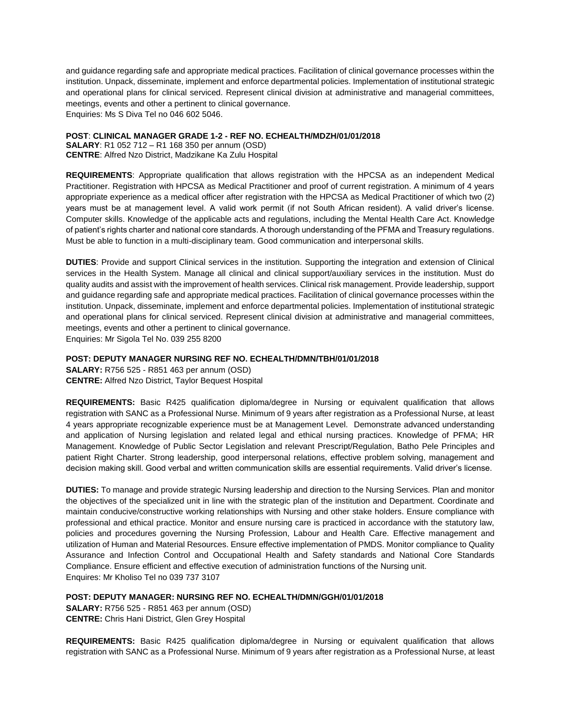and guidance regarding safe and appropriate medical practices. Facilitation of clinical governance processes within the institution. Unpack, disseminate, implement and enforce departmental policies. Implementation of institutional strategic and operational plans for clinical serviced. Represent clinical division at administrative and managerial committees, meetings, events and other a pertinent to clinical governance. Enquiries: Ms S Diva Tel no 046 602 5046.

### **POST**: **CLINICAL MANAGER GRADE 1-2 - REF NO. ECHEALTH/MDZH/01/01/2018**

**SALARY**: R1 052 712 – R1 168 350 per annum (OSD) **CENTRE**: Alfred Nzo District, Madzikane Ka Zulu Hospital

**REQUIREMENTS**: Appropriate qualification that allows registration with the HPCSA as an independent Medical Practitioner. Registration with HPCSA as Medical Practitioner and proof of current registration. A minimum of 4 years appropriate experience as a medical officer after registration with the HPCSA as Medical Practitioner of which two (2) years must be at management level. A valid work permit (if not South African resident). A valid driver's license. Computer skills. Knowledge of the applicable acts and regulations, including the Mental Health Care Act. Knowledge of patient's rights charter and national core standards. A thorough understanding of the PFMA and Treasury regulations. Must be able to function in a multi-disciplinary team. Good communication and interpersonal skills.

**DUTIES**: Provide and support Clinical services in the institution. Supporting the integration and extension of Clinical services in the Health System. Manage all clinical and clinical support/auxiliary services in the institution. Must do quality audits and assist with the improvement of health services. Clinical risk management. Provide leadership, support and guidance regarding safe and appropriate medical practices. Facilitation of clinical governance processes within the institution. Unpack, disseminate, implement and enforce departmental policies. Implementation of institutional strategic and operational plans for clinical serviced. Represent clinical division at administrative and managerial committees, meetings, events and other a pertinent to clinical governance.

Enquiries: Mr Sigola Tel No. 039 255 8200

# **POST: DEPUTY MANAGER NURSING REF NO. ECHEALTH/DMN/TBH/01/01/2018**

**SALARY:** R756 525 - R851 463 per annum (OSD) **CENTRE:** Alfred Nzo District, Taylor Bequest Hospital

**REQUIREMENTS:** Basic R425 qualification diploma/degree in Nursing or equivalent qualification that allows registration with SANC as a Professional Nurse. Minimum of 9 years after registration as a Professional Nurse, at least 4 years appropriate recognizable experience must be at Management Level. Demonstrate advanced understanding and application of Nursing legislation and related legal and ethical nursing practices. Knowledge of PFMA; HR Management. Knowledge of Public Sector Legislation and relevant Prescript/Regulation, Batho Pele Principles and patient Right Charter. Strong leadership, good interpersonal relations, effective problem solving, management and decision making skill. Good verbal and written communication skills are essential requirements. Valid driver's license.

**DUTIES:** To manage and provide strategic Nursing leadership and direction to the Nursing Services. Plan and monitor the objectives of the specialized unit in line with the strategic plan of the institution and Department. Coordinate and maintain conducive/constructive working relationships with Nursing and other stake holders. Ensure compliance with professional and ethical practice. Monitor and ensure nursing care is practiced in accordance with the statutory law, policies and procedures governing the Nursing Profession, Labour and Health Care. Effective management and utilization of Human and Material Resources. Ensure effective implementation of PMDS. Monitor compliance to Quality Assurance and Infection Control and Occupational Health and Safety standards and National Core Standards Compliance. Ensure efficient and effective execution of administration functions of the Nursing unit. Enquires: Mr Kholiso Tel no 039 737 3107

**POST: DEPUTY MANAGER: NURSING REF NO. ECHEALTH/DMN/GGH/01/01/2018 SALARY:** R756 525 - R851 463 per annum (OSD)

**CENTRE:** Chris Hani District, Glen Grey Hospital

**REQUIREMENTS:** Basic R425 qualification diploma/degree in Nursing or equivalent qualification that allows registration with SANC as a Professional Nurse. Minimum of 9 years after registration as a Professional Nurse, at least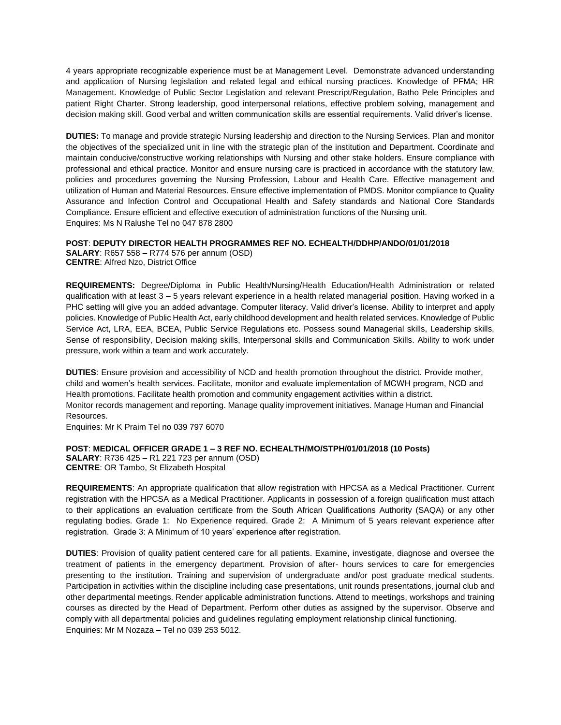4 years appropriate recognizable experience must be at Management Level. Demonstrate advanced understanding and application of Nursing legislation and related legal and ethical nursing practices. Knowledge of PFMA; HR Management. Knowledge of Public Sector Legislation and relevant Prescript/Regulation, Batho Pele Principles and patient Right Charter. Strong leadership, good interpersonal relations, effective problem solving, management and decision making skill. Good verbal and written communication skills are essential requirements. Valid driver's license.

**DUTIES:** To manage and provide strategic Nursing leadership and direction to the Nursing Services. Plan and monitor the objectives of the specialized unit in line with the strategic plan of the institution and Department. Coordinate and maintain conducive/constructive working relationships with Nursing and other stake holders. Ensure compliance with professional and ethical practice. Monitor and ensure nursing care is practiced in accordance with the statutory law, policies and procedures governing the Nursing Profession, Labour and Health Care. Effective management and utilization of Human and Material Resources. Ensure effective implementation of PMDS. Monitor compliance to Quality Assurance and Infection Control and Occupational Health and Safety standards and National Core Standards Compliance. Ensure efficient and effective execution of administration functions of the Nursing unit. Enquires: Ms N Ralushe Tel no 047 878 2800

### **POST**: **DEPUTY DIRECTOR HEALTH PROGRAMMES REF NO. ECHEALTH/DDHP/ANDO/01/01/2018**

**SALARY**: R657 558 – R774 576 per annum (OSD) **CENTRE**: Alfred Nzo, District Office

**REQUIREMENTS:** Degree/Diploma in Public Health/Nursing/Health Education/Health Administration or related qualification with at least 3 – 5 years relevant experience in a health related managerial position. Having worked in a PHC setting will give you an added advantage. Computer literacy. Valid driver's license. Ability to interpret and apply policies. Knowledge of Public Health Act, early childhood development and health related services. Knowledge of Public Service Act, LRA, EEA, BCEA, Public Service Regulations etc. Possess sound Managerial skills, Leadership skills, Sense of responsibility, Decision making skills, Interpersonal skills and Communication Skills. Ability to work under pressure, work within a team and work accurately.

**DUTIES**: Ensure provision and accessibility of NCD and health promotion throughout the district. Provide mother, child and women's health services. Facilitate, monitor and evaluate implementation of MCWH program, NCD and Health promotions. Facilitate health promotion and community engagement activities within a district. Monitor records management and reporting. Manage quality improvement initiatives. Manage Human and Financial Resources.

Enquiries: Mr K Praim Tel no 039 797 6070

**POST**: **MEDICAL OFFICER GRADE 1 – 3 REF NO. ECHEALTH/MO/STPH/01/01/2018 (10 Posts) SALARY**: R736 425 – R1 221 723 per annum (OSD) **CENTRE**: OR Tambo, St Elizabeth Hospital

**REQUIREMENTS**: An appropriate qualification that allow registration with HPCSA as a Medical Practitioner. Current registration with the HPCSA as a Medical Practitioner. Applicants in possession of a foreign qualification must attach to their applications an evaluation certificate from the South African Qualifications Authority (SAQA) or any other regulating bodies. Grade 1: No Experience required. Grade 2: A Minimum of 5 years relevant experience after registration. Grade 3: A Minimum of 10 years' experience after registration.

**DUTIES**: Provision of quality patient centered care for all patients. Examine, investigate, diagnose and oversee the treatment of patients in the emergency department. Provision of after- hours services to care for emergencies presenting to the institution. Training and supervision of undergraduate and/or post graduate medical students. Participation in activities within the discipline including case presentations, unit rounds presentations, journal club and other departmental meetings. Render applicable administration functions. Attend to meetings, workshops and training courses as directed by the Head of Department. Perform other duties as assigned by the supervisor. Observe and comply with all departmental policies and guidelines regulating employment relationship clinical functioning. Enquiries: Mr M Nozaza – Tel no 039 253 5012.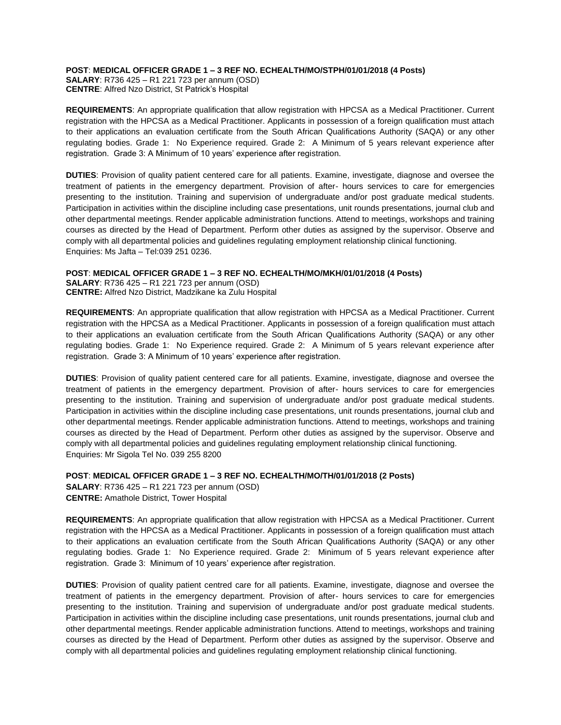**POST**: **MEDICAL OFFICER GRADE 1 – 3 REF NO. ECHEALTH/MO/STPH/01/01/2018 (4 Posts)**

**SALARY**: R736 425 – R1 221 723 per annum (OSD) **CENTRE**: Alfred Nzo District, St Patrick's Hospital

**REQUIREMENTS**: An appropriate qualification that allow registration with HPCSA as a Medical Practitioner. Current registration with the HPCSA as a Medical Practitioner. Applicants in possession of a foreign qualification must attach to their applications an evaluation certificate from the South African Qualifications Authority (SAQA) or any other regulating bodies. Grade 1: No Experience required. Grade 2: A Minimum of 5 years relevant experience after registration. Grade 3: A Minimum of 10 years' experience after registration.

**DUTIES**: Provision of quality patient centered care for all patients. Examine, investigate, diagnose and oversee the treatment of patients in the emergency department. Provision of after- hours services to care for emergencies presenting to the institution. Training and supervision of undergraduate and/or post graduate medical students. Participation in activities within the discipline including case presentations, unit rounds presentations, journal club and other departmental meetings. Render applicable administration functions. Attend to meetings, workshops and training courses as directed by the Head of Department. Perform other duties as assigned by the supervisor. Observe and comply with all departmental policies and guidelines regulating employment relationship clinical functioning. Enquiries: Ms Jafta – <Tel:039> 251 0236.

# **POST**: **MEDICAL OFFICER GRADE 1 – 3 REF NO. ECHEALTH/MO/MKH/01/01/2018 (4 Posts)**

**SALARY**: R736 425 – R1 221 723 per annum (OSD) **CENTRE:** Alfred Nzo District, Madzikane ka Zulu Hospital

**REQUIREMENTS**: An appropriate qualification that allow registration with HPCSA as a Medical Practitioner. Current registration with the HPCSA as a Medical Practitioner. Applicants in possession of a foreign qualification must attach to their applications an evaluation certificate from the South African Qualifications Authority (SAQA) or any other regulating bodies. Grade 1: No Experience required. Grade 2: A Minimum of 5 years relevant experience after registration. Grade 3: A Minimum of 10 years' experience after registration.

**DUTIES**: Provision of quality patient centered care for all patients. Examine, investigate, diagnose and oversee the treatment of patients in the emergency department. Provision of after- hours services to care for emergencies presenting to the institution. Training and supervision of undergraduate and/or post graduate medical students. Participation in activities within the discipline including case presentations, unit rounds presentations, journal club and other departmental meetings. Render applicable administration functions. Attend to meetings, workshops and training courses as directed by the Head of Department. Perform other duties as assigned by the supervisor. Observe and comply with all departmental policies and guidelines regulating employment relationship clinical functioning. Enquiries: Mr Sigola Tel No. 039 255 8200

**POST**: **MEDICAL OFFICER GRADE 1 – 3 REF NO. ECHEALTH/MO/TH/01/01/2018 (2 Posts) SALARY**: R736 425 – R1 221 723 per annum (OSD) **CENTRE:** Amathole District, Tower Hospital

**REQUIREMENTS**: An appropriate qualification that allow registration with HPCSA as a Medical Practitioner. Current registration with the HPCSA as a Medical Practitioner. Applicants in possession of a foreign qualification must attach to their applications an evaluation certificate from the South African Qualifications Authority (SAQA) or any other regulating bodies. Grade 1: No Experience required. Grade 2: Minimum of 5 years relevant experience after registration. Grade 3: Minimum of 10 years' experience after registration.

**DUTIES**: Provision of quality patient centred care for all patients. Examine, investigate, diagnose and oversee the treatment of patients in the emergency department. Provision of after- hours services to care for emergencies presenting to the institution. Training and supervision of undergraduate and/or post graduate medical students. Participation in activities within the discipline including case presentations, unit rounds presentations, journal club and other departmental meetings. Render applicable administration functions. Attend to meetings, workshops and training courses as directed by the Head of Department. Perform other duties as assigned by the supervisor. Observe and comply with all departmental policies and guidelines regulating employment relationship clinical functioning.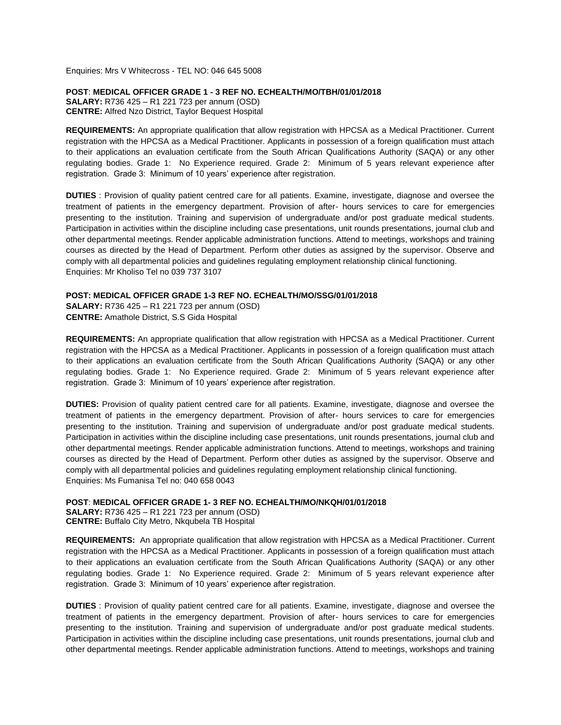Enquiries: Mrs V Whitecross - TEL NO: 046 645 5008

**POST**: **MEDICAL OFFICER GRADE 1 - 3 REF NO. ECHEALTH/MO/TBH/01/01/2018 SALARY:** R736 425 – R1 221 723 per annum (OSD) **CENTRE:** Alfred Nzo District, Taylor Bequest Hospital

**REQUIREMENTS:** An appropriate qualification that allow registration with HPCSA as a Medical Practitioner. Current registration with the HPCSA as a Medical Practitioner. Applicants in possession of a foreign qualification must attach to their applications an evaluation certificate from the South African Qualifications Authority (SAQA) or any other regulating bodies. Grade 1: No Experience required. Grade 2: Minimum of 5 years relevant experience after registration. Grade 3: Minimum of 10 years' experience after registration.

**DUTIES** : Provision of quality patient centred care for all patients. Examine, investigate, diagnose and oversee the treatment of patients in the emergency department. Provision of after- hours services to care for emergencies presenting to the institution. Training and supervision of undergraduate and/or post graduate medical students. Participation in activities within the discipline including case presentations, unit rounds presentations, journal club and other departmental meetings. Render applicable administration functions. Attend to meetings, workshops and training courses as directed by the Head of Department. Perform other duties as assigned by the supervisor. Observe and comply with all departmental policies and guidelines regulating employment relationship clinical functioning. Enquiries: Mr Kholiso Tel no 039 737 3107

#### **POST: MEDICAL OFFICER GRADE 1-3 REF NO. ECHEALTH/MO/SSG/01/01/2018**

**SALARY:** R736 425 – R1 221 723 per annum (OSD) **CENTRE:** Amathole District, S.S Gida Hospital

**REQUIREMENTS:** An appropriate qualification that allow registration with HPCSA as a Medical Practitioner. Current registration with the HPCSA as a Medical Practitioner. Applicants in possession of a foreign qualification must attach to their applications an evaluation certificate from the South African Qualifications Authority (SAQA) or any other regulating bodies. Grade 1: No Experience required. Grade 2: Minimum of 5 years relevant experience after registration. Grade 3: Minimum of 10 years' experience after registration.

**DUTIES:** Provision of quality patient centred care for all patients. Examine, investigate, diagnose and oversee the treatment of patients in the emergency department. Provision of after- hours services to care for emergencies presenting to the institution. Training and supervision of undergraduate and/or post graduate medical students. Participation in activities within the discipline including case presentations, unit rounds presentations, journal club and other departmental meetings. Render applicable administration functions. Attend to meetings, workshops and training courses as directed by the Head of Department. Perform other duties as assigned by the supervisor. Observe and comply with all departmental policies and guidelines regulating employment relationship clinical functioning. Enquiries: Ms Fumanisa Tel no: 040 658 0043

**POST**: **MEDICAL OFFICER GRADE 1- 3 REF NO. ECHEALTH/MO/NKQH/01/01/2018**

**SALARY:** R736 425 – R1 221 723 per annum (OSD) **CENTRE:** Buffalo City Metro, Nkqubela TB Hospital

**REQUIREMENTS:** An appropriate qualification that allow registration with HPCSA as a Medical Practitioner. Current registration with the HPCSA as a Medical Practitioner. Applicants in possession of a foreign qualification must attach to their applications an evaluation certificate from the South African Qualifications Authority (SAQA) or any other regulating bodies. Grade 1: No Experience required. Grade 2: Minimum of 5 years relevant experience after registration. Grade 3: Minimum of 10 years' experience after registration.

**DUTIES** : Provision of quality patient centred care for all patients. Examine, investigate, diagnose and oversee the treatment of patients in the emergency department. Provision of after- hours services to care for emergencies presenting to the institution. Training and supervision of undergraduate and/or post graduate medical students. Participation in activities within the discipline including case presentations, unit rounds presentations, journal club and other departmental meetings. Render applicable administration functions. Attend to meetings, workshops and training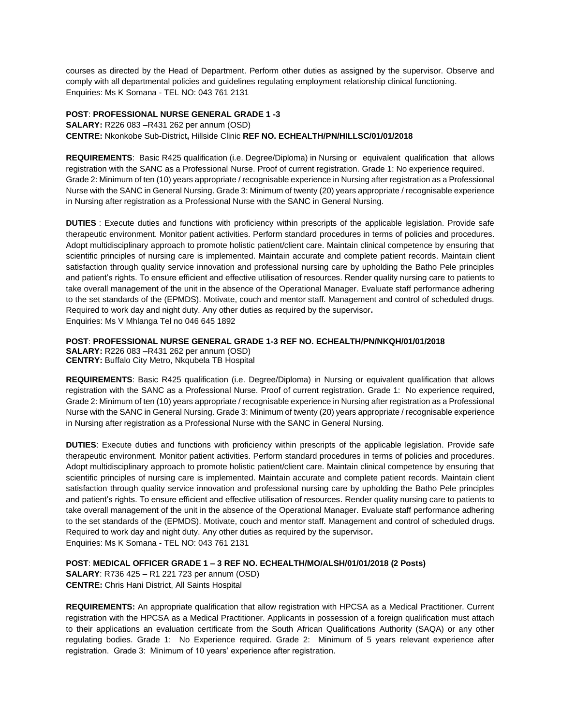courses as directed by the Head of Department. Perform other duties as assigned by the supervisor. Observe and comply with all departmental policies and guidelines regulating employment relationship clinical functioning. Enquiries: Ms K Somana - TEL NO: 043 761 2131

**POST**: **PROFESSIONAL NURSE GENERAL GRADE 1 -3 SALARY:** R226 083 –R431 262 per annum (OSD) **CENTRE:** Nkonkobe Sub-District**,** Hillside Clinic **REF NO. ECHEALTH/PN/HILLSC/01/01/2018**

**REQUIREMENTS**: Basic R425 qualification (i.e. Degree/Diploma) in Nursing or equivalent qualification that allows registration with the SANC as a Professional Nurse. Proof of current registration. Grade 1: No experience required. Grade 2: Minimum of ten (10) years appropriate / recognisable experience in Nursing after registration as a Professional Nurse with the SANC in General Nursing. Grade 3: Minimum of twenty (20) years appropriate / recognisable experience in Nursing after registration as a Professional Nurse with the SANC in General Nursing.

**DUTIES** : Execute duties and functions with proficiency within prescripts of the applicable legislation. Provide safe therapeutic environment. Monitor patient activities. Perform standard procedures in terms of policies and procedures. Adopt multidisciplinary approach to promote holistic patient/client care. Maintain clinical competence by ensuring that scientific principles of nursing care is implemented. Maintain accurate and complete patient records. Maintain client satisfaction through quality service innovation and professional nursing care by upholding the Batho Pele principles and patient's rights. To ensure efficient and effective utilisation of resources. Render quality nursing care to patients to take overall management of the unit in the absence of the Operational Manager. Evaluate staff performance adhering to the set standards of the (EPMDS). Motivate, couch and mentor staff. Management and control of scheduled drugs. Required to work day and night duty. Any other duties as required by the supervisor**.** Enquiries: Ms V Mhlanga Tel no 046 645 1892

**POST**: **PROFESSIONAL NURSE GENERAL GRADE 1-3 REF NO. ECHEALTH/PN/NKQH/01/01/2018**

**SALARY:** R226 083 –R431 262 per annum (OSD) **CENTRY:** Buffalo City Metro, Nkqubela TB Hospital

**REQUIREMENTS**: Basic R425 qualification (i.e. Degree/Diploma) in Nursing or equivalent qualification that allows registration with the SANC as a Professional Nurse. Proof of current registration. Grade 1: No experience required, Grade 2: Minimum of ten (10) years appropriate / recognisable experience in Nursing after registration as a Professional Nurse with the SANC in General Nursing. Grade 3: Minimum of twenty (20) years appropriate / recognisable experience in Nursing after registration as a Professional Nurse with the SANC in General Nursing.

**DUTIES**: Execute duties and functions with proficiency within prescripts of the applicable legislation. Provide safe therapeutic environment. Monitor patient activities. Perform standard procedures in terms of policies and procedures. Adopt multidisciplinary approach to promote holistic patient/client care. Maintain clinical competence by ensuring that scientific principles of nursing care is implemented. Maintain accurate and complete patient records. Maintain client satisfaction through quality service innovation and professional nursing care by upholding the Batho Pele principles and patient's rights. To ensure efficient and effective utilisation of resources. Render quality nursing care to patients to take overall management of the unit in the absence of the Operational Manager. Evaluate staff performance adhering to the set standards of the (EPMDS). Motivate, couch and mentor staff. Management and control of scheduled drugs. Required to work day and night duty. Any other duties as required by the supervisor**.** Enquiries: Ms K Somana - TEL NO: 043 761 2131

**POST**: **MEDICAL OFFICER GRADE 1 – 3 REF NO. ECHEALTH/MO/ALSH/01/01/2018 (2 Posts)** 

**SALARY**: R736 425 – R1 221 723 per annum (OSD) **CENTRE:** Chris Hani District, All Saints Hospital

**REQUIREMENTS:** An appropriate qualification that allow registration with HPCSA as a Medical Practitioner. Current registration with the HPCSA as a Medical Practitioner. Applicants in possession of a foreign qualification must attach to their applications an evaluation certificate from the South African Qualifications Authority (SAQA) or any other regulating bodies. Grade 1: No Experience required. Grade 2: Minimum of 5 years relevant experience after registration. Grade 3: Minimum of 10 years' experience after registration.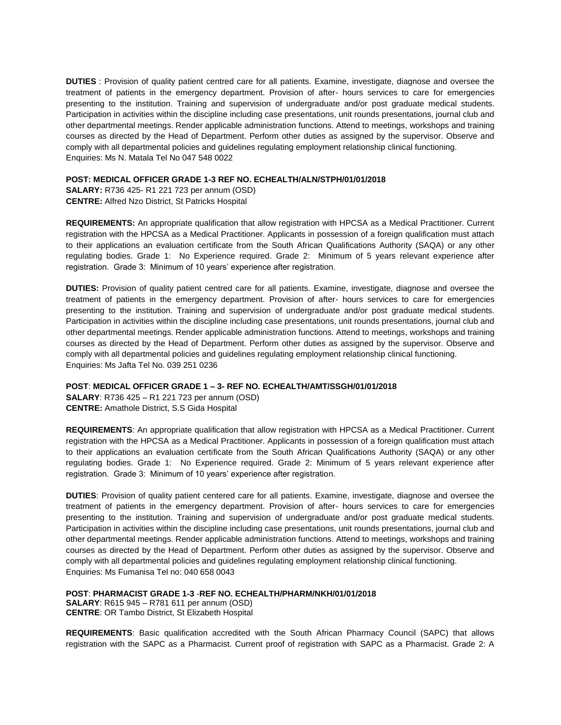**DUTIES** : Provision of quality patient centred care for all patients. Examine, investigate, diagnose and oversee the treatment of patients in the emergency department. Provision of after- hours services to care for emergencies presenting to the institution. Training and supervision of undergraduate and/or post graduate medical students. Participation in activities within the discipline including case presentations, unit rounds presentations, journal club and other departmental meetings. Render applicable administration functions. Attend to meetings, workshops and training courses as directed by the Head of Department. Perform other duties as assigned by the supervisor. Observe and comply with all departmental policies and guidelines regulating employment relationship clinical functioning. Enquiries: Ms N. Matala Tel No 047 548 0022

#### **POST: MEDICAL OFFICER GRADE 1-3 REF NO. ECHEALTH/ALN/STPH/01/01/2018**

**SALARY:** R736 425- R1 221 723 per annum (OSD) **CENTRE:** Alfred Nzo District, St Patricks Hospital

**REQUIREMENTS:** An appropriate qualification that allow registration with HPCSA as a Medical Practitioner. Current registration with the HPCSA as a Medical Practitioner. Applicants in possession of a foreign qualification must attach to their applications an evaluation certificate from the South African Qualifications Authority (SAQA) or any other regulating bodies. Grade 1: No Experience required. Grade 2: Minimum of 5 years relevant experience after registration. Grade 3: Minimum of 10 years' experience after registration.

**DUTIES:** Provision of quality patient centred care for all patients. Examine, investigate, diagnose and oversee the treatment of patients in the emergency department. Provision of after- hours services to care for emergencies presenting to the institution. Training and supervision of undergraduate and/or post graduate medical students. Participation in activities within the discipline including case presentations, unit rounds presentations, journal club and other departmental meetings. Render applicable administration functions. Attend to meetings, workshops and training courses as directed by the Head of Department. Perform other duties as assigned by the supervisor. Observe and comply with all departmental policies and guidelines regulating employment relationship clinical functioning. Enquiries: Ms Jafta Tel No. 039 251 0236

### **POST**: **MEDICAL OFFICER GRADE 1 – 3- REF NO. ECHEALTH/AMT/SSGH/01/01/2018**

**SALARY**: R736 425 – R1 221 723 per annum (OSD) **CENTRE:** Amathole District, S.S Gida Hospital

**REQUIREMENTS**: An appropriate qualification that allow registration with HPCSA as a Medical Practitioner. Current registration with the HPCSA as a Medical Practitioner. Applicants in possession of a foreign qualification must attach to their applications an evaluation certificate from the South African Qualifications Authority (SAQA) or any other regulating bodies. Grade 1: No Experience required. Grade 2: Minimum of 5 years relevant experience after registration. Grade 3: Minimum of 10 years' experience after registration.

**DUTIES**: Provision of quality patient centered care for all patients. Examine, investigate, diagnose and oversee the treatment of patients in the emergency department. Provision of after- hours services to care for emergencies presenting to the institution. Training and supervision of undergraduate and/or post graduate medical students. Participation in activities within the discipline including case presentations, unit rounds presentations, journal club and other departmental meetings. Render applicable administration functions. Attend to meetings, workshops and training courses as directed by the Head of Department. Perform other duties as assigned by the supervisor. Observe and comply with all departmental policies and guidelines regulating employment relationship clinical functioning. Enquiries: Ms Fumanisa Tel no: 040 658 0043

**POST**: **PHARMACIST GRADE 1-3** -**REF NO. ECHEALTH/PHARM/NKH/01/01/2018 SALARY**: R615 945 – R781 611 per annum (OSD) **CENTRE**: OR Tambo District, St Elizabeth Hospital

**REQUIREMENTS**: Basic qualification accredited with the South African Pharmacy Council (SAPC) that allows registration with the SAPC as a Pharmacist. Current proof of registration with SAPC as a Pharmacist. Grade 2: A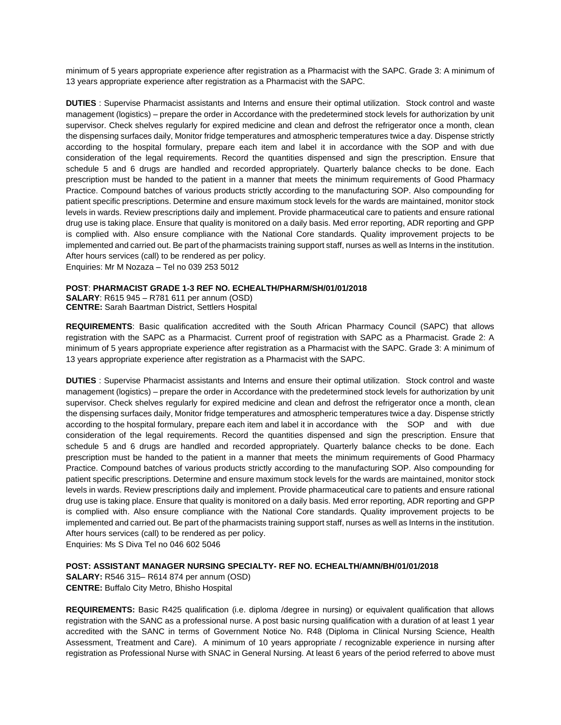minimum of 5 years appropriate experience after registration as a Pharmacist with the SAPC. Grade 3: A minimum of 13 years appropriate experience after registration as a Pharmacist with the SAPC.

**DUTIES** : Supervise Pharmacist assistants and Interns and ensure their optimal utilization. Stock control and waste management (logistics) – prepare the order in Accordance with the predetermined stock levels for authorization by unit supervisor. Check shelves regularly for expired medicine and clean and defrost the refrigerator once a month, clean the dispensing surfaces daily, Monitor fridge temperatures and atmospheric temperatures twice a day. Dispense strictly according to the hospital formulary, prepare each item and label it in accordance with the SOP and with due consideration of the legal requirements. Record the quantities dispensed and sign the prescription. Ensure that schedule 5 and 6 drugs are handled and recorded appropriately. Quarterly balance checks to be done. Each prescription must be handed to the patient in a manner that meets the minimum requirements of Good Pharmacy Practice. Compound batches of various products strictly according to the manufacturing SOP. Also compounding for patient specific prescriptions. Determine and ensure maximum stock levels for the wards are maintained, monitor stock levels in wards. Review prescriptions daily and implement. Provide pharmaceutical care to patients and ensure rational drug use is taking place. Ensure that quality is monitored on a daily basis. Med error reporting, ADR reporting and GPP is complied with. Also ensure compliance with the National Core standards. Quality improvement projects to be implemented and carried out. Be part of the pharmacists training support staff, nurses as well as Interns in the institution. After hours services (call) to be rendered as per policy.

Enquiries: Mr M Nozaza – Tel no 039 253 5012

#### **POST**: **PHARMACIST GRADE 1-3 REF NO. ECHEALTH/PHARM/SH/01/01/2018**

**SALARY**: R615 945 – R781 611 per annum (OSD) **CENTRE:** Sarah Baartman District, Settlers Hospital

**REQUIREMENTS**: Basic qualification accredited with the South African Pharmacy Council (SAPC) that allows registration with the SAPC as a Pharmacist. Current proof of registration with SAPC as a Pharmacist. Grade 2: A minimum of 5 years appropriate experience after registration as a Pharmacist with the SAPC. Grade 3: A minimum of 13 years appropriate experience after registration as a Pharmacist with the SAPC.

**DUTIES** : Supervise Pharmacist assistants and Interns and ensure their optimal utilization. Stock control and waste management (logistics) – prepare the order in Accordance with the predetermined stock levels for authorization by unit supervisor. Check shelves regularly for expired medicine and clean and defrost the refrigerator once a month, clean the dispensing surfaces daily, Monitor fridge temperatures and atmospheric temperatures twice a day. Dispense strictly according to the hospital formulary, prepare each item and label it in accordance with the SOP and with due consideration of the legal requirements. Record the quantities dispensed and sign the prescription. Ensure that schedule 5 and 6 drugs are handled and recorded appropriately. Quarterly balance checks to be done. Each prescription must be handed to the patient in a manner that meets the minimum requirements of Good Pharmacy Practice. Compound batches of various products strictly according to the manufacturing SOP. Also compounding for patient specific prescriptions. Determine and ensure maximum stock levels for the wards are maintained, monitor stock levels in wards. Review prescriptions daily and implement. Provide pharmaceutical care to patients and ensure rational drug use is taking place. Ensure that quality is monitored on a daily basis. Med error reporting, ADR reporting and GPP is complied with. Also ensure compliance with the National Core standards. Quality improvement projects to be implemented and carried out. Be part of the pharmacists training support staff, nurses as well as Interns in the institution. After hours services (call) to be rendered as per policy.

Enquiries: Ms S Diva Tel no 046 602 5046

#### **POST: ASSISTANT MANAGER NURSING SPECIALTY- REF NO. ECHEALTH/AMN/BH/01/01/2018**

**SALARY:** R546 315– R614 874 per annum (OSD) **CENTRE:** Buffalo City Metro, Bhisho Hospital

**REQUIREMENTS:** Basic R425 qualification (i.e. diploma /degree in nursing) or equivalent qualification that allows registration with the SANC as a professional nurse. A post basic nursing qualification with a duration of at least 1 year accredited with the SANC in terms of Government Notice No. R48 (Diploma in Clinical Nursing Science, Health Assessment, Treatment and Care). A minimum of 10 years appropriate / recognizable experience in nursing after registration as Professional Nurse with SNAC in General Nursing. At least 6 years of the period referred to above must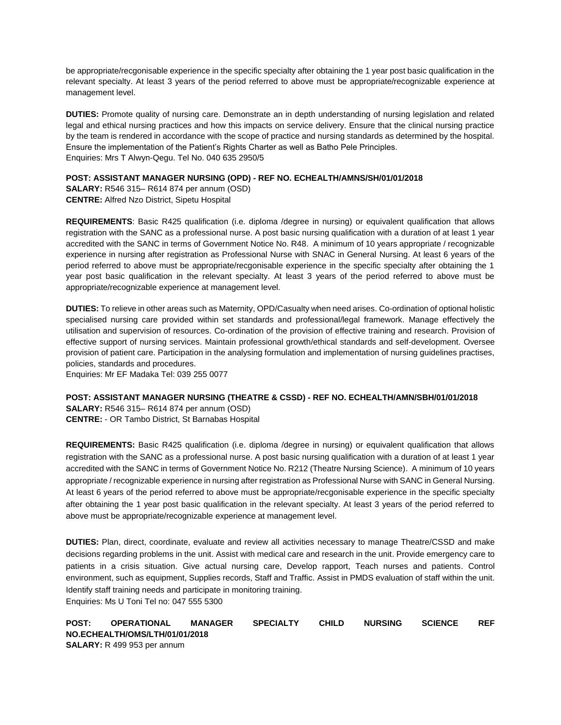be appropriate/recgonisable experience in the specific specialty after obtaining the 1 year post basic qualification in the relevant specialty. At least 3 years of the period referred to above must be appropriate/recognizable experience at management level.

**DUTIES:** Promote quality of nursing care. Demonstrate an in depth understanding of nursing legislation and related legal and ethical nursing practices and how this impacts on service delivery. Ensure that the clinical nursing practice by the team is rendered in accordance with the scope of practice and nursing standards as determined by the hospital. Ensure the implementation of the Patient's Rights Charter as well as Batho Pele Principles. Enquiries: Mrs T Alwyn-Qegu. Tel No. 040 635 2950/5

### **POST: ASSISTANT MANAGER NURSING (OPD) - REF NO. ECHEALTH/AMNS/SH/01/01/2018**

**SALARY:** R546 315– R614 874 per annum (OSD) **CENTRE:** Alfred Nzo District, Sipetu Hospital

**REQUIREMENTS**: Basic R425 qualification (i.e. diploma /degree in nursing) or equivalent qualification that allows registration with the SANC as a professional nurse. A post basic nursing qualification with a duration of at least 1 year accredited with the SANC in terms of Government Notice No. R48. A minimum of 10 years appropriate / recognizable experience in nursing after registration as Professional Nurse with SNAC in General Nursing. At least 6 years of the period referred to above must be appropriate/recgonisable experience in the specific specialty after obtaining the 1 year post basic qualification in the relevant specialty. At least 3 years of the period referred to above must be appropriate/recognizable experience at management level.

**DUTIES:** To relieve in other areas such as Maternity, OPD/Casualty when need arises. Co-ordination of optional holistic specialised nursing care provided within set standards and professional/legal framework. Manage effectively the utilisation and supervision of resources. Co-ordination of the provision of effective training and research. Provision of effective support of nursing services. Maintain professional growth/ethical standards and self-development. Oversee provision of patient care. Participation in the analysing formulation and implementation of nursing guidelines practises, policies, standards and procedures.

Enquiries: Mr EF Madaka Tel: 039 255 0077

# **POST: ASSISTANT MANAGER NURSING (THEATRE & CSSD) - REF NO. ECHEALTH/AMN/SBH/01/01/2018**

**SALARY:** R546 315– R614 874 per annum (OSD) **CENTRE:** - OR Tambo District, St Barnabas Hospital

**REQUIREMENTS:** Basic R425 qualification (i.e. diploma /degree in nursing) or equivalent qualification that allows registration with the SANC as a professional nurse. A post basic nursing qualification with a duration of at least 1 year accredited with the SANC in terms of Government Notice No. R212 (Theatre Nursing Science). A minimum of 10 years appropriate / recognizable experience in nursing after registration as Professional Nurse with SANC in General Nursing. At least 6 years of the period referred to above must be appropriate/recgonisable experience in the specific specialty after obtaining the 1 year post basic qualification in the relevant specialty. At least 3 years of the period referred to above must be appropriate/recognizable experience at management level.

**DUTIES:** Plan, direct, coordinate, evaluate and review all activities necessary to manage Theatre/CSSD and make decisions regarding problems in the unit. Assist with medical care and research in the unit. Provide emergency care to patients in a crisis situation. Give actual nursing care, Develop rapport, Teach nurses and patients. Control environment, such as equipment, Supplies records, Staff and Traffic. Assist in PMDS evaluation of staff within the unit. Identify staff training needs and participate in monitoring training. Enquiries: Ms U Toni Tel no: 047 555 5300

**POST: OPERATIONAL MANAGER SPECIALTY CHILD NURSING SCIENCE REF NO.ECHEALTH/OMS/LTH/01/01/2018 SALARY:** R 499 953 per annum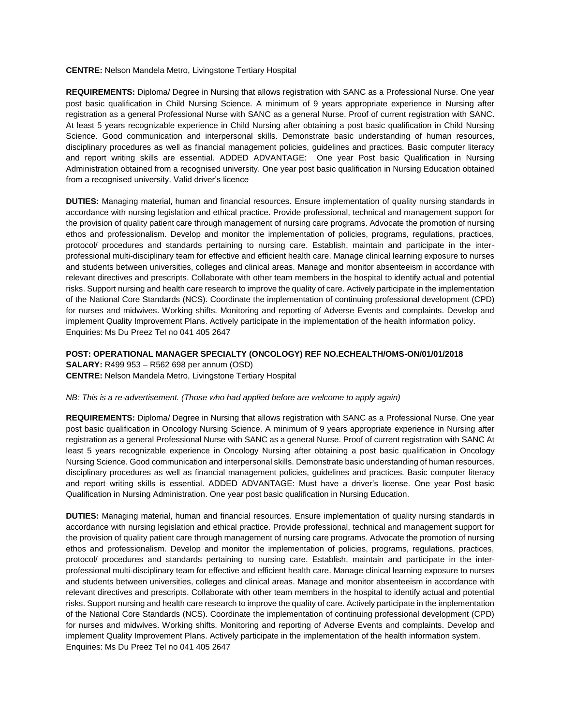#### **CENTRE:** Nelson Mandela Metro, Livingstone Tertiary Hospital

**REQUIREMENTS:** Diploma/ Degree in Nursing that allows registration with SANC as a Professional Nurse. One year post basic qualification in Child Nursing Science. A minimum of 9 years appropriate experience in Nursing after registration as a general Professional Nurse with SANC as a general Nurse. Proof of current registration with SANC. At least 5 years recognizable experience in Child Nursing after obtaining a post basic qualification in Child Nursing Science. Good communication and interpersonal skills. Demonstrate basic understanding of human resources, disciplinary procedures as well as financial management policies, guidelines and practices. Basic computer literacy and report writing skills are essential. ADDED ADVANTAGE: One year Post basic Qualification in Nursing Administration obtained from a recognised university. One year post basic qualification in Nursing Education obtained from a recognised university. Valid driver's licence

**DUTIES:** Managing material, human and financial resources. Ensure implementation of quality nursing standards in accordance with nursing legislation and ethical practice. Provide professional, technical and management support for the provision of quality patient care through management of nursing care programs. Advocate the promotion of nursing ethos and professionalism. Develop and monitor the implementation of policies, programs, regulations, practices, protocol/ procedures and standards pertaining to nursing care. Establish, maintain and participate in the interprofessional multi-disciplinary team for effective and efficient health care. Manage clinical learning exposure to nurses and students between universities, colleges and clinical areas. Manage and monitor absenteeism in accordance with relevant directives and prescripts. Collaborate with other team members in the hospital to identify actual and potential risks. Support nursing and health care research to improve the quality of care. Actively participate in the implementation of the National Core Standards (NCS). Coordinate the implementation of continuing professional development (CPD) for nurses and midwives. Working shifts. Monitoring and reporting of Adverse Events and complaints. Develop and implement Quality Improvement Plans. Actively participate in the implementation of the health information policy. Enquiries: Ms Du Preez Tel no 041 405 2647

**POST: OPERATIONAL MANAGER SPECIALTY (ONCOLOGY) REF NO.ECHEALTH/OMS-ON/01/01/2018 SALARY:** R499 953 – R562 698 per annum (OSD) **CENTRE:** Nelson Mandela Metro, Livingstone Tertiary Hospital

### *NB: This is a re-advertisement. (Those who had applied before are welcome to apply again)*

**REQUIREMENTS:** Diploma/ Degree in Nursing that allows registration with SANC as a Professional Nurse. One year post basic qualification in Oncology Nursing Science. A minimum of 9 years appropriate experience in Nursing after registration as a general Professional Nurse with SANC as a general Nurse. Proof of current registration with SANC At least 5 years recognizable experience in Oncology Nursing after obtaining a post basic qualification in Oncology Nursing Science. Good communication and interpersonal skills. Demonstrate basic understanding of human resources, disciplinary procedures as well as financial management policies, guidelines and practices. Basic computer literacy and report writing skills is essential. ADDED ADVANTAGE: Must have a driver's license. One year Post basic Qualification in Nursing Administration. One year post basic qualification in Nursing Education.

**DUTIES:** Managing material, human and financial resources. Ensure implementation of quality nursing standards in accordance with nursing legislation and ethical practice. Provide professional, technical and management support for the provision of quality patient care through management of nursing care programs. Advocate the promotion of nursing ethos and professionalism. Develop and monitor the implementation of policies, programs, regulations, practices, protocol/ procedures and standards pertaining to nursing care. Establish, maintain and participate in the interprofessional multi-disciplinary team for effective and efficient health care. Manage clinical learning exposure to nurses and students between universities, colleges and clinical areas. Manage and monitor absenteeism in accordance with relevant directives and prescripts. Collaborate with other team members in the hospital to identify actual and potential risks. Support nursing and health care research to improve the quality of care. Actively participate in the implementation of the National Core Standards (NCS). Coordinate the implementation of continuing professional development (CPD) for nurses and midwives. Working shifts. Monitoring and reporting of Adverse Events and complaints. Develop and implement Quality Improvement Plans. Actively participate in the implementation of the health information system. Enquiries: Ms Du Preez Tel no 041 405 2647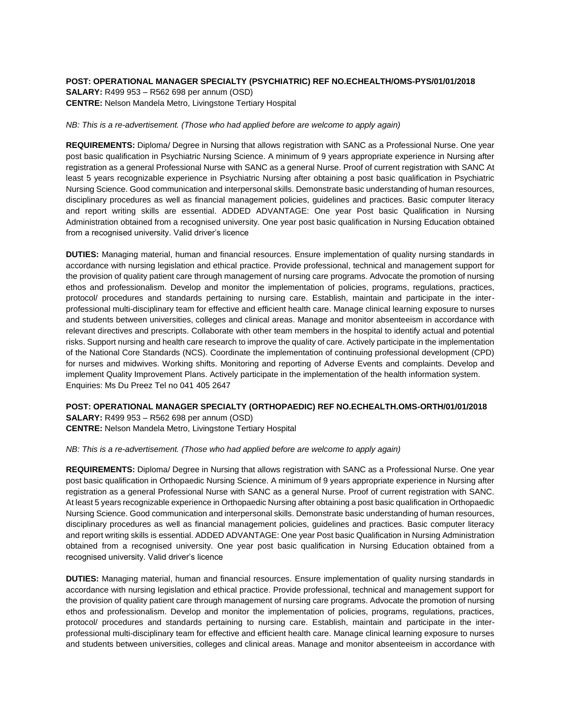# **POST: OPERATIONAL MANAGER SPECIALTY (PSYCHIATRIC) REF NO.ECHEALTH/OMS-PYS/01/01/2018 SALARY:** R499 953 – R562 698 per annum (OSD) **CENTRE:** Nelson Mandela Metro, Livingstone Tertiary Hospital

#### *NB: This is a re-advertisement. (Those who had applied before are welcome to apply again)*

**REQUIREMENTS:** Diploma/ Degree in Nursing that allows registration with SANC as a Professional Nurse. One year post basic qualification in Psychiatric Nursing Science. A minimum of 9 years appropriate experience in Nursing after registration as a general Professional Nurse with SANC as a general Nurse. Proof of current registration with SANC At least 5 years recognizable experience in Psychiatric Nursing after obtaining a post basic qualification in Psychiatric Nursing Science. Good communication and interpersonal skills. Demonstrate basic understanding of human resources, disciplinary procedures as well as financial management policies, guidelines and practices. Basic computer literacy and report writing skills are essential. ADDED ADVANTAGE: One year Post basic Qualification in Nursing Administration obtained from a recognised university. One year post basic qualification in Nursing Education obtained from a recognised university. Valid driver's licence

**DUTIES:** Managing material, human and financial resources. Ensure implementation of quality nursing standards in accordance with nursing legislation and ethical practice. Provide professional, technical and management support for the provision of quality patient care through management of nursing care programs. Advocate the promotion of nursing ethos and professionalism. Develop and monitor the implementation of policies, programs, regulations, practices, protocol/ procedures and standards pertaining to nursing care. Establish, maintain and participate in the interprofessional multi-disciplinary team for effective and efficient health care. Manage clinical learning exposure to nurses and students between universities, colleges and clinical areas. Manage and monitor absenteeism in accordance with relevant directives and prescripts. Collaborate with other team members in the hospital to identify actual and potential risks. Support nursing and health care research to improve the quality of care. Actively participate in the implementation of the National Core Standards (NCS). Coordinate the implementation of continuing professional development (CPD) for nurses and midwives. Working shifts. Monitoring and reporting of Adverse Events and complaints. Develop and implement Quality Improvement Plans. Actively participate in the implementation of the health information system. Enquiries: Ms Du Preez Tel no 041 405 2647

**POST: OPERATIONAL MANAGER SPECIALTY (ORTHOPAEDIC) REF NO.ECHEALTH.OMS-ORTH/01/01/2018 SALARY:** R499 953 – R562 698 per annum (OSD) **CENTRE:** Nelson Mandela Metro, Livingstone Tertiary Hospital

*NB: This is a re-advertisement. (Those who had applied before are welcome to apply again)*

**REQUIREMENTS:** Diploma/ Degree in Nursing that allows registration with SANC as a Professional Nurse. One year post basic qualification in Orthopaedic Nursing Science. A minimum of 9 years appropriate experience in Nursing after registration as a general Professional Nurse with SANC as a general Nurse. Proof of current registration with SANC. At least 5 years recognizable experience in Orthopaedic Nursing after obtaining a post basic qualification in Orthopaedic Nursing Science. Good communication and interpersonal skills. Demonstrate basic understanding of human resources, disciplinary procedures as well as financial management policies, guidelines and practices. Basic computer literacy and report writing skills is essential. ADDED ADVANTAGE: One year Post basic Qualification in Nursing Administration obtained from a recognised university. One year post basic qualification in Nursing Education obtained from a recognised university. Valid driver's licence

**DUTIES:** Managing material, human and financial resources. Ensure implementation of quality nursing standards in accordance with nursing legislation and ethical practice. Provide professional, technical and management support for the provision of quality patient care through management of nursing care programs. Advocate the promotion of nursing ethos and professionalism. Develop and monitor the implementation of policies, programs, regulations, practices, protocol/ procedures and standards pertaining to nursing care. Establish, maintain and participate in the interprofessional multi-disciplinary team for effective and efficient health care. Manage clinical learning exposure to nurses and students between universities, colleges and clinical areas. Manage and monitor absenteeism in accordance with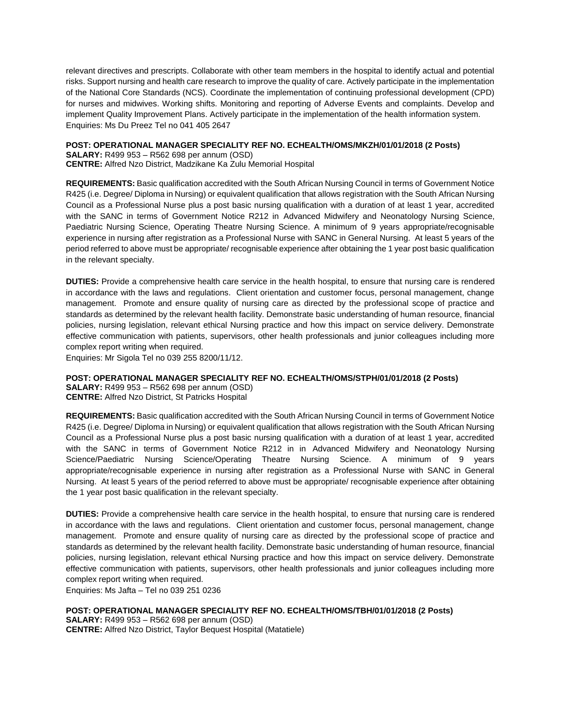relevant directives and prescripts. Collaborate with other team members in the hospital to identify actual and potential risks. Support nursing and health care research to improve the quality of care. Actively participate in the implementation of the National Core Standards (NCS). Coordinate the implementation of continuing professional development (CPD) for nurses and midwives. Working shifts. Monitoring and reporting of Adverse Events and complaints. Develop and implement Quality Improvement Plans. Actively participate in the implementation of the health information system. Enquiries: Ms Du Preez Tel no 041 405 2647

**POST: OPERATIONAL MANAGER SPECIALITY REF NO. ECHEALTH/OMS/MKZH/01/01/2018 (2 Posts) SALARY:** R499 953 – R562 698 per annum (OSD)

**CENTRE:** Alfred Nzo District, Madzikane Ka Zulu Memorial Hospital

**REQUIREMENTS:** Basic qualification accredited with the South African Nursing Council in terms of Government Notice R425 (i.e. Degree/ Diploma in Nursing) or equivalent qualification that allows registration with the South African Nursing Council as a Professional Nurse plus a post basic nursing qualification with a duration of at least 1 year, accredited with the SANC in terms of Government Notice R212 in Advanced Midwifery and Neonatology Nursing Science, Paediatric Nursing Science, Operating Theatre Nursing Science. A minimum of 9 years appropriate/recognisable experience in nursing after registration as a Professional Nurse with SANC in General Nursing. At least 5 years of the period referred to above must be appropriate/ recognisable experience after obtaining the 1 year post basic qualification in the relevant specialty.

**DUTIES:** Provide a comprehensive health care service in the health hospital, to ensure that nursing care is rendered in accordance with the laws and regulations. Client orientation and customer focus, personal management, change management. Promote and ensure quality of nursing care as directed by the professional scope of practice and standards as determined by the relevant health facility. Demonstrate basic understanding of human resource, financial policies, nursing legislation, relevant ethical Nursing practice and how this impact on service delivery. Demonstrate effective communication with patients, supervisors, other health professionals and junior colleagues including more complex report writing when required.

Enquiries: Mr Sigola Tel no 039 255 8200/11/12.

### **POST: OPERATIONAL MANAGER SPECIALITY REF NO. ECHEALTH/OMS/STPH/01/01/2018 (2 Posts)**

**SALARY:** R499 953 – R562 698 per annum (OSD) **CENTRE:** Alfred Nzo District, St Patricks Hospital

**REQUIREMENTS:** Basic qualification accredited with the South African Nursing Council in terms of Government Notice R425 (i.e. Degree/ Diploma in Nursing) or equivalent qualification that allows registration with the South African Nursing Council as a Professional Nurse plus a post basic nursing qualification with a duration of at least 1 year, accredited with the SANC in terms of Government Notice R212 in in Advanced Midwifery and Neonatology Nursing Science/Paediatric Nursing Science/Operating Theatre Nursing Science. A minimum of 9 years appropriate/recognisable experience in nursing after registration as a Professional Nurse with SANC in General Nursing. At least 5 years of the period referred to above must be appropriate/ recognisable experience after obtaining the 1 year post basic qualification in the relevant specialty.

**DUTIES:** Provide a comprehensive health care service in the health hospital, to ensure that nursing care is rendered in accordance with the laws and regulations. Client orientation and customer focus, personal management, change management. Promote and ensure quality of nursing care as directed by the professional scope of practice and standards as determined by the relevant health facility. Demonstrate basic understanding of human resource, financial policies, nursing legislation, relevant ethical Nursing practice and how this impact on service delivery. Demonstrate effective communication with patients, supervisors, other health professionals and junior colleagues including more complex report writing when required.

Enquiries: Ms Jafta – [Tel no 039](Tel:039) 251 0236

**POST: OPERATIONAL MANAGER SPECIALITY REF NO. ECHEALTH/OMS/TBH/01/01/2018 (2 Posts) SALARY:** R499 953 – R562 698 per annum (OSD) **CENTRE:** Alfred Nzo District, Taylor Bequest Hospital (Matatiele)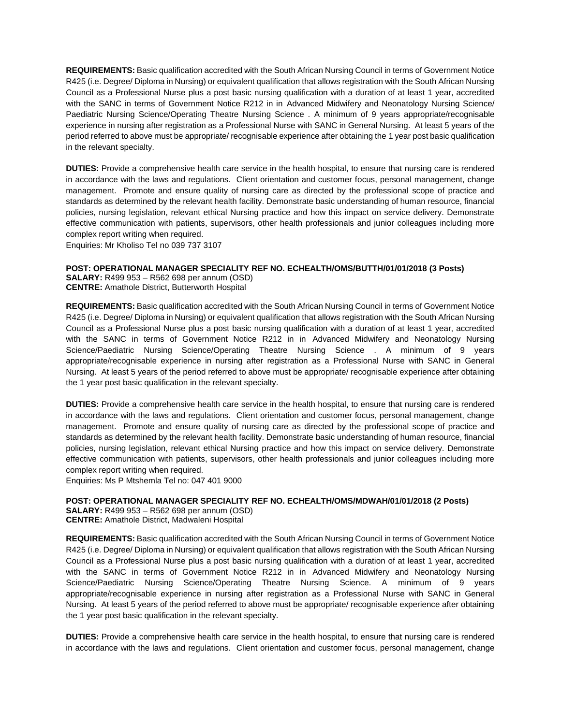**REQUIREMENTS:** Basic qualification accredited with the South African Nursing Council in terms of Government Notice R425 (i.e. Degree/ Diploma in Nursing) or equivalent qualification that allows registration with the South African Nursing Council as a Professional Nurse plus a post basic nursing qualification with a duration of at least 1 year, accredited with the SANC in terms of Government Notice R212 in in Advanced Midwifery and Neonatology Nursing Science/ Paediatric Nursing Science/Operating Theatre Nursing Science . A minimum of 9 years appropriate/recognisable experience in nursing after registration as a Professional Nurse with SANC in General Nursing. At least 5 years of the period referred to above must be appropriate/ recognisable experience after obtaining the 1 year post basic qualification in the relevant specialty.

**DUTIES:** Provide a comprehensive health care service in the health hospital, to ensure that nursing care is rendered in accordance with the laws and regulations. Client orientation and customer focus, personal management, change management. Promote and ensure quality of nursing care as directed by the professional scope of practice and standards as determined by the relevant health facility. Demonstrate basic understanding of human resource, financial policies, nursing legislation, relevant ethical Nursing practice and how this impact on service delivery. Demonstrate effective communication with patients, supervisors, other health professionals and junior colleagues including more complex report writing when required.

Enquiries: Mr Kholiso Tel no 039 737 3107

### **POST: OPERATIONAL MANAGER SPECIALITY REF NO. ECHEALTH/OMS/BUTTH/01/01/2018 (3 Posts)**

**SALARY:** R499 953 – R562 698 per annum (OSD) **CENTRE:** Amathole District, Butterworth Hospital

**REQUIREMENTS:** Basic qualification accredited with the South African Nursing Council in terms of Government Notice R425 (i.e. Degree/ Diploma in Nursing) or equivalent qualification that allows registration with the South African Nursing Council as a Professional Nurse plus a post basic nursing qualification with a duration of at least 1 year, accredited with the SANC in terms of Government Notice R212 in in Advanced Midwifery and Neonatology Nursing Science/Paediatric Nursing Science/Operating Theatre Nursing Science . A minimum of 9 years appropriate/recognisable experience in nursing after registration as a Professional Nurse with SANC in General Nursing. At least 5 years of the period referred to above must be appropriate/ recognisable experience after obtaining the 1 year post basic qualification in the relevant specialty.

**DUTIES:** Provide a comprehensive health care service in the health hospital, to ensure that nursing care is rendered in accordance with the laws and regulations. Client orientation and customer focus, personal management, change management. Promote and ensure quality of nursing care as directed by the professional scope of practice and standards as determined by the relevant health facility. Demonstrate basic understanding of human resource, financial policies, nursing legislation, relevant ethical Nursing practice and how this impact on service delivery. Demonstrate effective communication with patients, supervisors, other health professionals and junior colleagues including more complex report writing when required.

Enquiries: Ms P Mtshemla Tel no: 047 401 9000

**POST: OPERATIONAL MANAGER SPECIALITY REF NO. ECHEALTH/OMS/MDWAH/01/01/2018 (2 Posts)**

**SALARY:** R499 953 – R562 698 per annum (OSD) **CENTRE:** Amathole District, Madwaleni Hospital

**REQUIREMENTS:** Basic qualification accredited with the South African Nursing Council in terms of Government Notice R425 (i.e. Degree/ Diploma in Nursing) or equivalent qualification that allows registration with the South African Nursing Council as a Professional Nurse plus a post basic nursing qualification with a duration of at least 1 year, accredited with the SANC in terms of Government Notice R212 in in Advanced Midwifery and Neonatology Nursing Science/Paediatric Nursing Science/Operating Theatre Nursing Science. A minimum of 9 years appropriate/recognisable experience in nursing after registration as a Professional Nurse with SANC in General Nursing. At least 5 years of the period referred to above must be appropriate/ recognisable experience after obtaining the 1 year post basic qualification in the relevant specialty.

**DUTIES:** Provide a comprehensive health care service in the health hospital, to ensure that nursing care is rendered in accordance with the laws and regulations. Client orientation and customer focus, personal management, change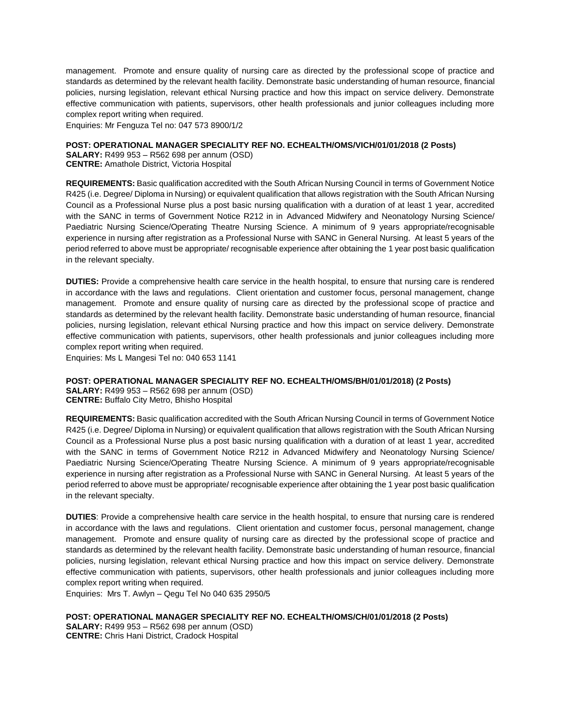management. Promote and ensure quality of nursing care as directed by the professional scope of practice and standards as determined by the relevant health facility. Demonstrate basic understanding of human resource, financial policies, nursing legislation, relevant ethical Nursing practice and how this impact on service delivery. Demonstrate effective communication with patients, supervisors, other health professionals and junior colleagues including more complex report writing when required.

Enquiries: Mr Fenguza Tel no: 047 573 8900/1/2

### **POST: OPERATIONAL MANAGER SPECIALITY REF NO. ECHEALTH/OMS/VICH/01/01/2018 (2 Posts)**

**SALARY:** R499 953 – R562 698 per annum (OSD) **CENTRE:** Amathole District, Victoria Hospital

**REQUIREMENTS:** Basic qualification accredited with the South African Nursing Council in terms of Government Notice R425 (i.e. Degree/ Diploma in Nursing) or equivalent qualification that allows registration with the South African Nursing Council as a Professional Nurse plus a post basic nursing qualification with a duration of at least 1 year, accredited with the SANC in terms of Government Notice R212 in in Advanced Midwifery and Neonatology Nursing Science/ Paediatric Nursing Science/Operating Theatre Nursing Science. A minimum of 9 years appropriate/recognisable experience in nursing after registration as a Professional Nurse with SANC in General Nursing. At least 5 years of the period referred to above must be appropriate/ recognisable experience after obtaining the 1 year post basic qualification in the relevant specialty.

**DUTIES:** Provide a comprehensive health care service in the health hospital, to ensure that nursing care is rendered in accordance with the laws and regulations. Client orientation and customer focus, personal management, change management. Promote and ensure quality of nursing care as directed by the professional scope of practice and standards as determined by the relevant health facility. Demonstrate basic understanding of human resource, financial policies, nursing legislation, relevant ethical Nursing practice and how this impact on service delivery. Demonstrate effective communication with patients, supervisors, other health professionals and junior colleagues including more complex report writing when required.

Enquiries: Ms L Mangesi Tel no: 040 653 1141

### **POST: OPERATIONAL MANAGER SPECIALITY REF NO. ECHEALTH/OMS/BH/01/01/2018) (2 Posts)**

**SALARY:** R499 953 – R562 698 per annum (OSD) **CENTRE:** Buffalo City Metro, Bhisho Hospital

**REQUIREMENTS:** Basic qualification accredited with the South African Nursing Council in terms of Government Notice R425 (i.e. Degree/ Diploma in Nursing) or equivalent qualification that allows registration with the South African Nursing Council as a Professional Nurse plus a post basic nursing qualification with a duration of at least 1 year, accredited with the SANC in terms of Government Notice R212 in Advanced Midwifery and Neonatology Nursing Science/ Paediatric Nursing Science/Operating Theatre Nursing Science. A minimum of 9 years appropriate/recognisable experience in nursing after registration as a Professional Nurse with SANC in General Nursing. At least 5 years of the period referred to above must be appropriate/ recognisable experience after obtaining the 1 year post basic qualification in the relevant specialty.

**DUTIES**: Provide a comprehensive health care service in the health hospital, to ensure that nursing care is rendered in accordance with the laws and regulations. Client orientation and customer focus, personal management, change management. Promote and ensure quality of nursing care as directed by the professional scope of practice and standards as determined by the relevant health facility. Demonstrate basic understanding of human resource, financial policies, nursing legislation, relevant ethical Nursing practice and how this impact on service delivery. Demonstrate effective communication with patients, supervisors, other health professionals and junior colleagues including more complex report writing when required.

Enquiries: Mrs T. Awlyn – Qegu Tel No 040 635 2950/5

**POST: OPERATIONAL MANAGER SPECIALITY REF NO. ECHEALTH/OMS/CH/01/01/2018 (2 Posts) SALARY:** R499 953 – R562 698 per annum (OSD) **CENTRE:** Chris Hani District, Cradock Hospital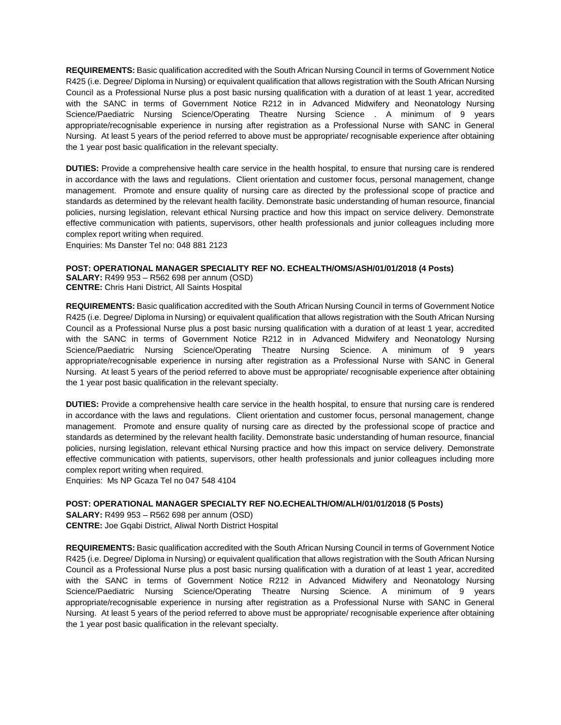**REQUIREMENTS:** Basic qualification accredited with the South African Nursing Council in terms of Government Notice R425 (i.e. Degree/ Diploma in Nursing) or equivalent qualification that allows registration with the South African Nursing Council as a Professional Nurse plus a post basic nursing qualification with a duration of at least 1 year, accredited with the SANC in terms of Government Notice R212 in in Advanced Midwifery and Neonatology Nursing Science/Paediatric Nursing Science/Operating Theatre Nursing Science . A minimum of 9 years appropriate/recognisable experience in nursing after registration as a Professional Nurse with SANC in General Nursing. At least 5 years of the period referred to above must be appropriate/ recognisable experience after obtaining the 1 year post basic qualification in the relevant specialty.

**DUTIES:** Provide a comprehensive health care service in the health hospital, to ensure that nursing care is rendered in accordance with the laws and regulations. Client orientation and customer focus, personal management, change management. Promote and ensure quality of nursing care as directed by the professional scope of practice and standards as determined by the relevant health facility. Demonstrate basic understanding of human resource, financial policies, nursing legislation, relevant ethical Nursing practice and how this impact on service delivery. Demonstrate effective communication with patients, supervisors, other health professionals and junior colleagues including more complex report writing when required.

Enquiries: Ms Danster Tel no: 048 881 2123

### **POST: OPERATIONAL MANAGER SPECIALITY REF NO. ECHEALTH/OMS/ASH/01/01/2018 (4 Posts)**

**SALARY:** R499 953 – R562 698 per annum (OSD) **CENTRE:** Chris Hani District, All Saints Hospital

**REQUIREMENTS:** Basic qualification accredited with the South African Nursing Council in terms of Government Notice R425 (i.e. Degree/ Diploma in Nursing) or equivalent qualification that allows registration with the South African Nursing Council as a Professional Nurse plus a post basic nursing qualification with a duration of at least 1 year, accredited with the SANC in terms of Government Notice R212 in in Advanced Midwifery and Neonatology Nursing Science/Paediatric Nursing Science/Operating Theatre Nursing Science. A minimum of 9 years appropriate/recognisable experience in nursing after registration as a Professional Nurse with SANC in General Nursing. At least 5 years of the period referred to above must be appropriate/ recognisable experience after obtaining the 1 year post basic qualification in the relevant specialty.

**DUTIES:** Provide a comprehensive health care service in the health hospital, to ensure that nursing care is rendered in accordance with the laws and regulations. Client orientation and customer focus, personal management, change management. Promote and ensure quality of nursing care as directed by the professional scope of practice and standards as determined by the relevant health facility. Demonstrate basic understanding of human resource, financial policies, nursing legislation, relevant ethical Nursing practice and how this impact on service delivery. Demonstrate effective communication with patients, supervisors, other health professionals and junior colleagues including more complex report writing when required.

Enquiries: Ms NP Gcaza Tel no 047 548 4104

### **POST: OPERATIONAL MANAGER SPECIALTY REF NO.ECHEALTH/OM/ALH/01/01/2018 (5 Posts)**

**SALARY:** R499 953 – R562 698 per annum (OSD) **CENTRE:** Joe Gqabi District, Aliwal North District Hospital

**REQUIREMENTS:** Basic qualification accredited with the South African Nursing Council in terms of Government Notice R425 (i.e. Degree/ Diploma in Nursing) or equivalent qualification that allows registration with the South African Nursing Council as a Professional Nurse plus a post basic nursing qualification with a duration of at least 1 year, accredited with the SANC in terms of Government Notice R212 in Advanced Midwifery and Neonatology Nursing Science/Paediatric Nursing Science/Operating Theatre Nursing Science. A minimum of 9 years appropriate/recognisable experience in nursing after registration as a Professional Nurse with SANC in General Nursing. At least 5 years of the period referred to above must be appropriate/ recognisable experience after obtaining the 1 year post basic qualification in the relevant specialty.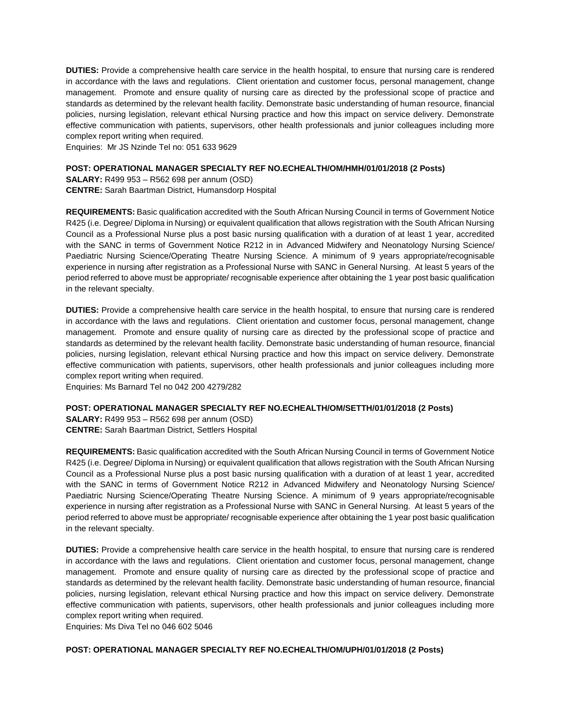**DUTIES:** Provide a comprehensive health care service in the health hospital, to ensure that nursing care is rendered in accordance with the laws and regulations. Client orientation and customer focus, personal management, change management. Promote and ensure quality of nursing care as directed by the professional scope of practice and standards as determined by the relevant health facility. Demonstrate basic understanding of human resource, financial policies, nursing legislation, relevant ethical Nursing practice and how this impact on service delivery. Demonstrate effective communication with patients, supervisors, other health professionals and junior colleagues including more complex report writing when required.

Enquiries: Mr JS Nzinde Tel no: 051 633 9629

### **POST: OPERATIONAL MANAGER SPECIALTY REF NO.ECHEALTH/OM/HMH/01/01/2018 (2 Posts)**

**SALARY:** R499 953 – R562 698 per annum (OSD) **CENTRE:** Sarah Baartman District, Humansdorp Hospital

**REQUIREMENTS:** Basic qualification accredited with the South African Nursing Council in terms of Government Notice R425 (i.e. Degree/ Diploma in Nursing) or equivalent qualification that allows registration with the South African Nursing Council as a Professional Nurse plus a post basic nursing qualification with a duration of at least 1 year, accredited with the SANC in terms of Government Notice R212 in in Advanced Midwifery and Neonatology Nursing Science/ Paediatric Nursing Science/Operating Theatre Nursing Science. A minimum of 9 years appropriate/recognisable experience in nursing after registration as a Professional Nurse with SANC in General Nursing. At least 5 years of the period referred to above must be appropriate/ recognisable experience after obtaining the 1 year post basic qualification in the relevant specialty.

**DUTIES:** Provide a comprehensive health care service in the health hospital, to ensure that nursing care is rendered in accordance with the laws and regulations. Client orientation and customer focus, personal management, change management. Promote and ensure quality of nursing care as directed by the professional scope of practice and standards as determined by the relevant health facility. Demonstrate basic understanding of human resource, financial policies, nursing legislation, relevant ethical Nursing practice and how this impact on service delivery. Demonstrate effective communication with patients, supervisors, other health professionals and junior colleagues including more complex report writing when required.

Enquiries: Ms Barnard Tel no 042 200 4279/282

### **POST: OPERATIONAL MANAGER SPECIALTY REF NO.ECHEALTH/OM/SETTH/01/01/2018 (2 Posts)**

**SALARY:** R499 953 – R562 698 per annum (OSD) **CENTRE:** Sarah Baartman District, Settlers Hospital

**REQUIREMENTS:** Basic qualification accredited with the South African Nursing Council in terms of Government Notice R425 (i.e. Degree/ Diploma in Nursing) or equivalent qualification that allows registration with the South African Nursing Council as a Professional Nurse plus a post basic nursing qualification with a duration of at least 1 year, accredited with the SANC in terms of Government Notice R212 in Advanced Midwifery and Neonatology Nursing Science/ Paediatric Nursing Science/Operating Theatre Nursing Science. A minimum of 9 years appropriate/recognisable experience in nursing after registration as a Professional Nurse with SANC in General Nursing. At least 5 years of the period referred to above must be appropriate/ recognisable experience after obtaining the 1 year post basic qualification in the relevant specialty.

**DUTIES:** Provide a comprehensive health care service in the health hospital, to ensure that nursing care is rendered in accordance with the laws and regulations. Client orientation and customer focus, personal management, change management. Promote and ensure quality of nursing care as directed by the professional scope of practice and standards as determined by the relevant health facility. Demonstrate basic understanding of human resource, financial policies, nursing legislation, relevant ethical Nursing practice and how this impact on service delivery. Demonstrate effective communication with patients, supervisors, other health professionals and junior colleagues including more complex report writing when required.

Enquiries: Ms Diva Tel no 046 602 5046

### **POST: OPERATIONAL MANAGER SPECIALTY REF NO.ECHEALTH/OM/UPH/01/01/2018 (2 Posts)**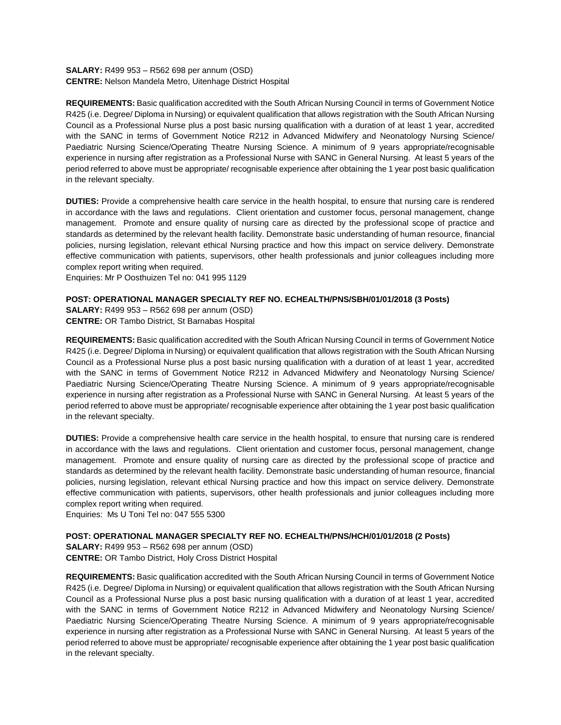**SALARY:** R499 953 – R562 698 per annum (OSD) **CENTRE:** Nelson Mandela Metro, Uitenhage District Hospital

**REQUIREMENTS:** Basic qualification accredited with the South African Nursing Council in terms of Government Notice R425 (i.e. Degree/ Diploma in Nursing) or equivalent qualification that allows registration with the South African Nursing Council as a Professional Nurse plus a post basic nursing qualification with a duration of at least 1 year, accredited with the SANC in terms of Government Notice R212 in Advanced Midwifery and Neonatology Nursing Science/ Paediatric Nursing Science/Operating Theatre Nursing Science. A minimum of 9 years appropriate/recognisable experience in nursing after registration as a Professional Nurse with SANC in General Nursing. At least 5 years of the period referred to above must be appropriate/ recognisable experience after obtaining the 1 year post basic qualification in the relevant specialty.

**DUTIES:** Provide a comprehensive health care service in the health hospital, to ensure that nursing care is rendered in accordance with the laws and regulations. Client orientation and customer focus, personal management, change management. Promote and ensure quality of nursing care as directed by the professional scope of practice and standards as determined by the relevant health facility. Demonstrate basic understanding of human resource, financial policies, nursing legislation, relevant ethical Nursing practice and how this impact on service delivery. Demonstrate effective communication with patients, supervisors, other health professionals and junior colleagues including more complex report writing when required.

Enquiries: Mr P Oosthuizen Tel no: 041 995 1129

### **POST: OPERATIONAL MANAGER SPECIALTY REF NO. ECHEALTH/PNS/SBH/01/01/2018 (3 Posts)**

**SALARY:** R499 953 – R562 698 per annum (OSD) **CENTRE:** OR Tambo District, St Barnabas Hospital

**REQUIREMENTS:** Basic qualification accredited with the South African Nursing Council in terms of Government Notice R425 (i.e. Degree/ Diploma in Nursing) or equivalent qualification that allows registration with the South African Nursing Council as a Professional Nurse plus a post basic nursing qualification with a duration of at least 1 year, accredited with the SANC in terms of Government Notice R212 in Advanced Midwifery and Neonatology Nursing Science/ Paediatric Nursing Science/Operating Theatre Nursing Science. A minimum of 9 years appropriate/recognisable experience in nursing after registration as a Professional Nurse with SANC in General Nursing. At least 5 years of the period referred to above must be appropriate/ recognisable experience after obtaining the 1 year post basic qualification in the relevant specialty.

**DUTIES:** Provide a comprehensive health care service in the health hospital, to ensure that nursing care is rendered in accordance with the laws and regulations. Client orientation and customer focus, personal management, change management. Promote and ensure quality of nursing care as directed by the professional scope of practice and standards as determined by the relevant health facility. Demonstrate basic understanding of human resource, financial policies, nursing legislation, relevant ethical Nursing practice and how this impact on service delivery. Demonstrate effective communication with patients, supervisors, other health professionals and junior colleagues including more complex report writing when required.

Enquiries: Ms U Toni Tel no: 047 555 5300

### **POST: OPERATIONAL MANAGER SPECIALTY REF NO. ECHEALTH/PNS/HCH/01/01/2018 (2 Posts)**

**SALARY:** R499 953 – R562 698 per annum (OSD) **CENTRE:** OR Tambo District, Holy Cross District Hospital

**REQUIREMENTS:** Basic qualification accredited with the South African Nursing Council in terms of Government Notice R425 (i.e. Degree/ Diploma in Nursing) or equivalent qualification that allows registration with the South African Nursing Council as a Professional Nurse plus a post basic nursing qualification with a duration of at least 1 year, accredited with the SANC in terms of Government Notice R212 in Advanced Midwifery and Neonatology Nursing Science/ Paediatric Nursing Science/Operating Theatre Nursing Science. A minimum of 9 years appropriate/recognisable experience in nursing after registration as a Professional Nurse with SANC in General Nursing. At least 5 years of the period referred to above must be appropriate/ recognisable experience after obtaining the 1 year post basic qualification in the relevant specialty.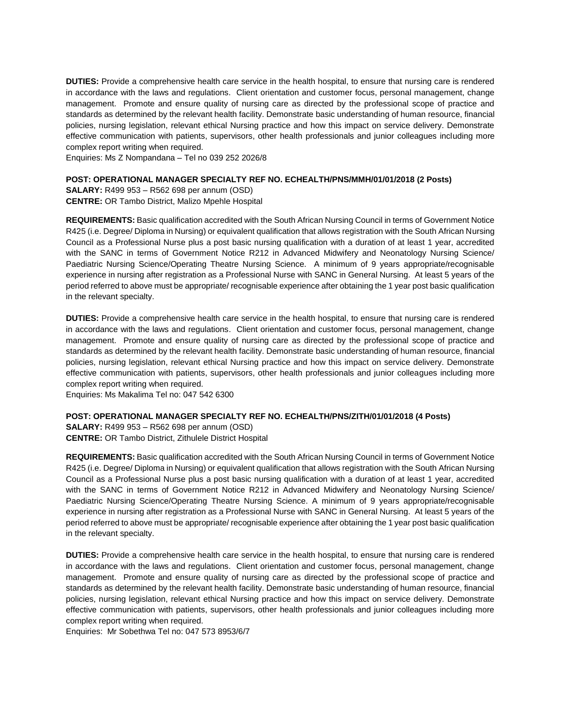**DUTIES:** Provide a comprehensive health care service in the health hospital, to ensure that nursing care is rendered in accordance with the laws and regulations. Client orientation and customer focus, personal management, change management. Promote and ensure quality of nursing care as directed by the professional scope of practice and standards as determined by the relevant health facility. Demonstrate basic understanding of human resource, financial policies, nursing legislation, relevant ethical Nursing practice and how this impact on service delivery. Demonstrate effective communication with patients, supervisors, other health professionals and junior colleagues including more complex report writing when required.

Enquiries: Ms Z Nompandana – Tel no 039 252 2026/8

#### **POST: OPERATIONAL MANAGER SPECIALTY REF NO. ECHEALTH/PNS/MMH/01/01/2018 (2 Posts)**

**SALARY:** R499 953 – R562 698 per annum (OSD) **CENTRE:** OR Tambo District, Malizo Mpehle Hospital

**REQUIREMENTS:** Basic qualification accredited with the South African Nursing Council in terms of Government Notice R425 (i.e. Degree/ Diploma in Nursing) or equivalent qualification that allows registration with the South African Nursing Council as a Professional Nurse plus a post basic nursing qualification with a duration of at least 1 year, accredited with the SANC in terms of Government Notice R212 in Advanced Midwifery and Neonatology Nursing Science/ Paediatric Nursing Science/Operating Theatre Nursing Science. A minimum of 9 years appropriate/recognisable experience in nursing after registration as a Professional Nurse with SANC in General Nursing. At least 5 years of the period referred to above must be appropriate/ recognisable experience after obtaining the 1 year post basic qualification in the relevant specialty.

**DUTIES:** Provide a comprehensive health care service in the health hospital, to ensure that nursing care is rendered in accordance with the laws and regulations. Client orientation and customer focus, personal management, change management. Promote and ensure quality of nursing care as directed by the professional scope of practice and standards as determined by the relevant health facility. Demonstrate basic understanding of human resource, financial policies, nursing legislation, relevant ethical Nursing practice and how this impact on service delivery. Demonstrate effective communication with patients, supervisors, other health professionals and junior colleagues including more complex report writing when required.

Enquiries: Ms Makalima Tel no: 047 542 6300

#### **POST: OPERATIONAL MANAGER SPECIALTY REF NO. ECHEALTH/PNS/ZITH/01/01/2018 (4 Posts)**

**SALARY:** R499 953 – R562 698 per annum (OSD) **CENTRE:** OR Tambo District, Zithulele District Hospital

**REQUIREMENTS:** Basic qualification accredited with the South African Nursing Council in terms of Government Notice R425 (i.e. Degree/ Diploma in Nursing) or equivalent qualification that allows registration with the South African Nursing Council as a Professional Nurse plus a post basic nursing qualification with a duration of at least 1 year, accredited with the SANC in terms of Government Notice R212 in Advanced Midwifery and Neonatology Nursing Science/ Paediatric Nursing Science/Operating Theatre Nursing Science. A minimum of 9 years appropriate/recognisable experience in nursing after registration as a Professional Nurse with SANC in General Nursing. At least 5 years of the period referred to above must be appropriate/ recognisable experience after obtaining the 1 year post basic qualification in the relevant specialty.

**DUTIES:** Provide a comprehensive health care service in the health hospital, to ensure that nursing care is rendered in accordance with the laws and regulations. Client orientation and customer focus, personal management, change management. Promote and ensure quality of nursing care as directed by the professional scope of practice and standards as determined by the relevant health facility. Demonstrate basic understanding of human resource, financial policies, nursing legislation, relevant ethical Nursing practice and how this impact on service delivery. Demonstrate effective communication with patients, supervisors, other health professionals and junior colleagues including more complex report writing when required.

Enquiries: Mr Sobethwa Tel no: 047 573 8953/6/7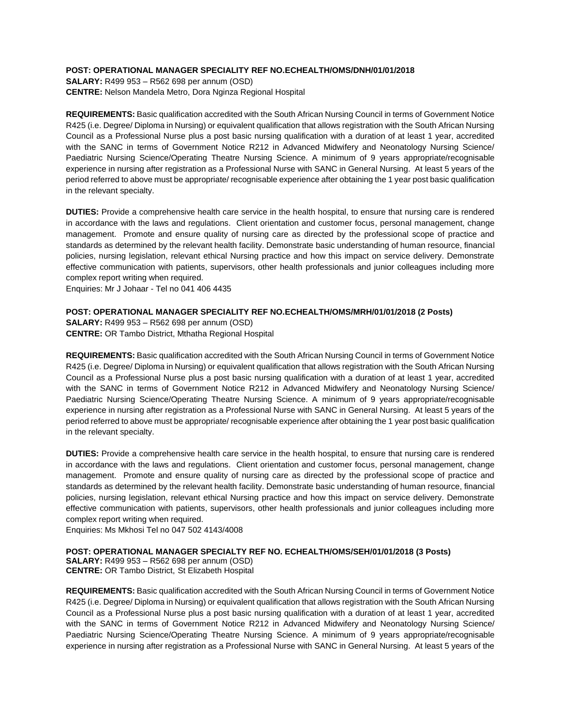### **POST: OPERATIONAL MANAGER SPECIALITY REF NO.ECHEALTH/OMS/DNH/01/01/2018**

**SALARY:** R499 953 – R562 698 per annum (OSD) **CENTRE:** Nelson Mandela Metro, Dora Nginza Regional Hospital

**REQUIREMENTS:** Basic qualification accredited with the South African Nursing Council in terms of Government Notice R425 (i.e. Degree/ Diploma in Nursing) or equivalent qualification that allows registration with the South African Nursing Council as a Professional Nurse plus a post basic nursing qualification with a duration of at least 1 year, accredited with the SANC in terms of Government Notice R212 in Advanced Midwifery and Neonatology Nursing Science/ Paediatric Nursing Science/Operating Theatre Nursing Science. A minimum of 9 years appropriate/recognisable experience in nursing after registration as a Professional Nurse with SANC in General Nursing. At least 5 years of the period referred to above must be appropriate/ recognisable experience after obtaining the 1 year post basic qualification in the relevant specialty.

**DUTIES:** Provide a comprehensive health care service in the health hospital, to ensure that nursing care is rendered in accordance with the laws and regulations. Client orientation and customer focus, personal management, change management. Promote and ensure quality of nursing care as directed by the professional scope of practice and standards as determined by the relevant health facility. Demonstrate basic understanding of human resource, financial policies, nursing legislation, relevant ethical Nursing practice and how this impact on service delivery. Demonstrate effective communication with patients, supervisors, other health professionals and junior colleagues including more complex report writing when required.

Enquiries: Mr J Johaar - Tel no 041 406 4435

### **POST: OPERATIONAL MANAGER SPECIALITY REF NO.ECHEALTH/OMS/MRH/01/01/2018 (2 Posts)**

**SALARY:** R499 953 – R562 698 per annum (OSD) **CENTRE:** OR Tambo District, Mthatha Regional Hospital

**REQUIREMENTS:** Basic qualification accredited with the South African Nursing Council in terms of Government Notice R425 (i.e. Degree/ Diploma in Nursing) or equivalent qualification that allows registration with the South African Nursing Council as a Professional Nurse plus a post basic nursing qualification with a duration of at least 1 year, accredited with the SANC in terms of Government Notice R212 in Advanced Midwifery and Neonatology Nursing Science/ Paediatric Nursing Science/Operating Theatre Nursing Science. A minimum of 9 years appropriate/recognisable experience in nursing after registration as a Professional Nurse with SANC in General Nursing. At least 5 years of the period referred to above must be appropriate/ recognisable experience after obtaining the 1 year post basic qualification in the relevant specialty.

**DUTIES:** Provide a comprehensive health care service in the health hospital, to ensure that nursing care is rendered in accordance with the laws and regulations. Client orientation and customer focus, personal management, change management. Promote and ensure quality of nursing care as directed by the professional scope of practice and standards as determined by the relevant health facility. Demonstrate basic understanding of human resource, financial policies, nursing legislation, relevant ethical Nursing practice and how this impact on service delivery. Demonstrate effective communication with patients, supervisors, other health professionals and junior colleagues including more complex report writing when required.

Enquiries: Ms Mkhosi Tel no 047 502 4143/4008

### **POST: OPERATIONAL MANAGER SPECIALTY REF NO. ECHEALTH/OMS/SEH/01/01/2018 (3 Posts)**

**SALARY:** R499 953 – R562 698 per annum (OSD) **CENTRE:** OR Tambo District, St Elizabeth Hospital

**REQUIREMENTS:** Basic qualification accredited with the South African Nursing Council in terms of Government Notice R425 (i.e. Degree/ Diploma in Nursing) or equivalent qualification that allows registration with the South African Nursing Council as a Professional Nurse plus a post basic nursing qualification with a duration of at least 1 year, accredited with the SANC in terms of Government Notice R212 in Advanced Midwifery and Neonatology Nursing Science/ Paediatric Nursing Science/Operating Theatre Nursing Science. A minimum of 9 years appropriate/recognisable experience in nursing after registration as a Professional Nurse with SANC in General Nursing. At least 5 years of the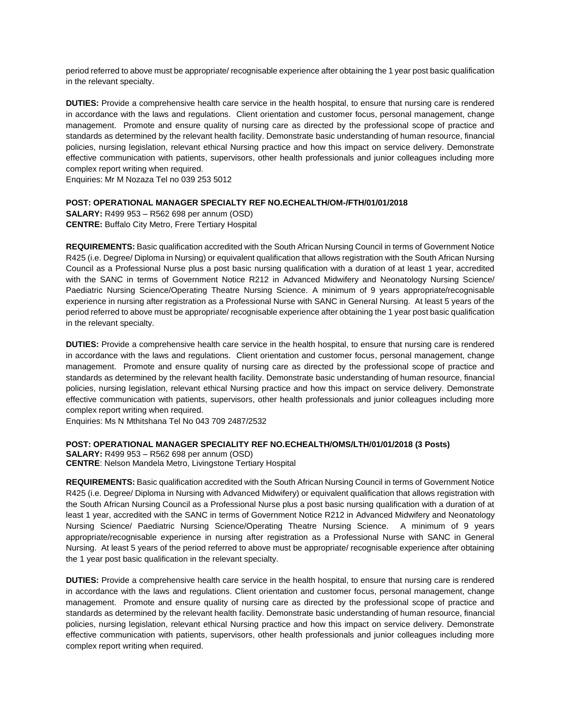period referred to above must be appropriate/ recognisable experience after obtaining the 1 year post basic qualification in the relevant specialty.

**DUTIES:** Provide a comprehensive health care service in the health hospital, to ensure that nursing care is rendered in accordance with the laws and regulations. Client orientation and customer focus, personal management, change management. Promote and ensure quality of nursing care as directed by the professional scope of practice and standards as determined by the relevant health facility. Demonstrate basic understanding of human resource, financial policies, nursing legislation, relevant ethical Nursing practice and how this impact on service delivery. Demonstrate effective communication with patients, supervisors, other health professionals and junior colleagues including more complex report writing when required.

Enquiries: Mr M Nozaza Tel no 039 253 5012

#### **POST: OPERATIONAL MANAGER SPECIALTY REF NO.ECHEALTH/OM-/FTH/01/01/2018**

**SALARY:** R499 953 – R562 698 per annum (OSD) **CENTRE:** Buffalo City Metro, Frere Tertiary Hospital

**REQUIREMENTS:** Basic qualification accredited with the South African Nursing Council in terms of Government Notice R425 (i.e. Degree/ Diploma in Nursing) or equivalent qualification that allows registration with the South African Nursing Council as a Professional Nurse plus a post basic nursing qualification with a duration of at least 1 year, accredited with the SANC in terms of Government Notice R212 in Advanced Midwifery and Neonatology Nursing Science/ Paediatric Nursing Science/Operating Theatre Nursing Science. A minimum of 9 years appropriate/recognisable experience in nursing after registration as a Professional Nurse with SANC in General Nursing. At least 5 years of the period referred to above must be appropriate/ recognisable experience after obtaining the 1 year post basic qualification in the relevant specialty.

**DUTIES:** Provide a comprehensive health care service in the health hospital, to ensure that nursing care is rendered in accordance with the laws and regulations. Client orientation and customer focus, personal management, change management. Promote and ensure quality of nursing care as directed by the professional scope of practice and standards as determined by the relevant health facility. Demonstrate basic understanding of human resource, financial policies, nursing legislation, relevant ethical Nursing practice and how this impact on service delivery. Demonstrate effective communication with patients, supervisors, other health professionals and junior colleagues including more complex report writing when required.

Enquiries: Ms N Mthitshana Tel No 043 709 2487/2532

#### **POST: OPERATIONAL MANAGER SPECIALITY REF NO.ECHEALTH/OMS/LTH/01/01/2018 (3 Posts)**

**SALARY:** R499 953 – R562 698 per annum (OSD) **CENTRE**: Nelson Mandela Metro, Livingstone Tertiary Hospital

**REQUIREMENTS:** Basic qualification accredited with the South African Nursing Council in terms of Government Notice R425 (i.e. Degree/ Diploma in Nursing with Advanced Midwifery) or equivalent qualification that allows registration with the South African Nursing Council as a Professional Nurse plus a post basic nursing qualification with a duration of at least 1 year, accredited with the SANC in terms of Government Notice R212 in Advanced Midwifery and Neonatology Nursing Science/ Paediatric Nursing Science/Operating Theatre Nursing Science. A minimum of 9 years appropriate/recognisable experience in nursing after registration as a Professional Nurse with SANC in General Nursing. At least 5 years of the period referred to above must be appropriate/ recognisable experience after obtaining the 1 year post basic qualification in the relevant specialty.

**DUTIES:** Provide a comprehensive health care service in the health hospital, to ensure that nursing care is rendered in accordance with the laws and regulations. Client orientation and customer focus, personal management, change management. Promote and ensure quality of nursing care as directed by the professional scope of practice and standards as determined by the relevant health facility. Demonstrate basic understanding of human resource, financial policies, nursing legislation, relevant ethical Nursing practice and how this impact on service delivery. Demonstrate effective communication with patients, supervisors, other health professionals and junior colleagues including more complex report writing when required.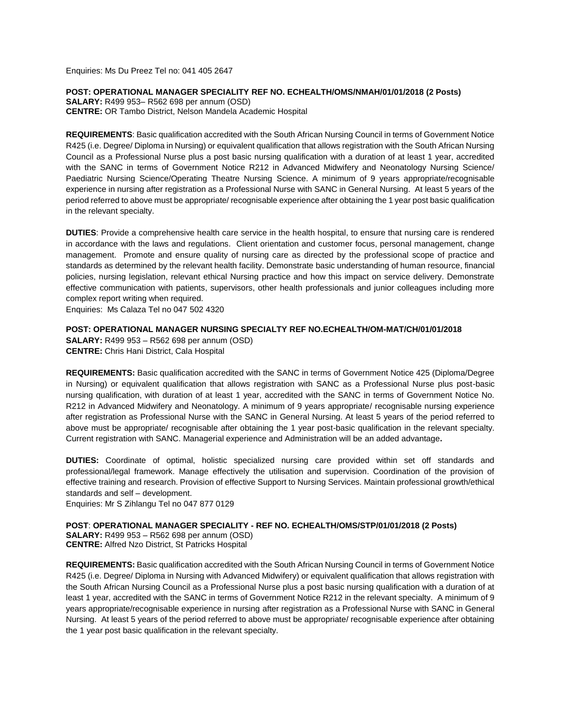Enquiries: Ms Du Preez Tel no: 041 405 2647

**POST: OPERATIONAL MANAGER SPECIALITY REF NO. ECHEALTH/OMS/NMAH/01/01/2018 (2 Posts) SALARY:** R499 953– R562 698 per annum (OSD) **CENTRE:** OR Tambo District, Nelson Mandela Academic Hospital

**REQUIREMENTS**: Basic qualification accredited with the South African Nursing Council in terms of Government Notice R425 (i.e. Degree/ Diploma in Nursing) or equivalent qualification that allows registration with the South African Nursing Council as a Professional Nurse plus a post basic nursing qualification with a duration of at least 1 year, accredited with the SANC in terms of Government Notice R212 in Advanced Midwifery and Neonatology Nursing Science/ Paediatric Nursing Science/Operating Theatre Nursing Science. A minimum of 9 years appropriate/recognisable experience in nursing after registration as a Professional Nurse with SANC in General Nursing. At least 5 years of the period referred to above must be appropriate/ recognisable experience after obtaining the 1 year post basic qualification in the relevant specialty.

**DUTIES**: Provide a comprehensive health care service in the health hospital, to ensure that nursing care is rendered in accordance with the laws and regulations. Client orientation and customer focus, personal management, change management. Promote and ensure quality of nursing care as directed by the professional scope of practice and standards as determined by the relevant health facility. Demonstrate basic understanding of human resource, financial policies, nursing legislation, relevant ethical Nursing practice and how this impact on service delivery. Demonstrate effective communication with patients, supervisors, other health professionals and junior colleagues including more complex report writing when required.

Enquiries: Ms Calaza Tel no 047 502 4320

### **POST: OPERATIONAL MANAGER NURSING SPECIALTY REF NO.ECHEALTH/OM-MAT/CH/01/01/2018**

**SALARY:** R499 953 – R562 698 per annum (OSD) **CENTRE:** Chris Hani District, Cala Hospital

**REQUIREMENTS:** Basic qualification accredited with the SANC in terms of Government Notice 425 (Diploma/Degree in Nursing) or equivalent qualification that allows registration with SANC as a Professional Nurse plus post-basic nursing qualification, with duration of at least 1 year, accredited with the SANC in terms of Government Notice No. R212 in Advanced Midwifery and Neonatology. A minimum of 9 years appropriate/ recognisable nursing experience after registration as Professional Nurse with the SANC in General Nursing. At least 5 years of the period referred to above must be appropriate/ recognisable after obtaining the 1 year post-basic qualification in the relevant specialty. Current registration with SANC. Managerial experience and Administration will be an added advantage**.**

**DUTIES:** Coordinate of optimal, holistic specialized nursing care provided within set off standards and professional/legal framework. Manage effectively the utilisation and supervision. Coordination of the provision of effective training and research. Provision of effective Support to Nursing Services. Maintain professional growth/ethical standards and self – development.

Enquiries: Mr S Zihlangu Tel no 047 877 0129

**POST**: **OPERATIONAL MANAGER SPECIALITY - REF NO. ECHEALTH/OMS/STP/01/01/2018 (2 Posts) SALARY:** R499 953 – R562 698 per annum (OSD) **CENTRE:** Alfred Nzo District, St Patricks Hospital

**REQUIREMENTS:** Basic qualification accredited with the South African Nursing Council in terms of Government Notice R425 (i.e. Degree/ Diploma in Nursing with Advanced Midwifery) or equivalent qualification that allows registration with the South African Nursing Council as a Professional Nurse plus a post basic nursing qualification with a duration of at least 1 year, accredited with the SANC in terms of Government Notice R212 in the relevant specialty. A minimum of 9 years appropriate/recognisable experience in nursing after registration as a Professional Nurse with SANC in General Nursing. At least 5 years of the period referred to above must be appropriate/ recognisable experience after obtaining the 1 year post basic qualification in the relevant specialty.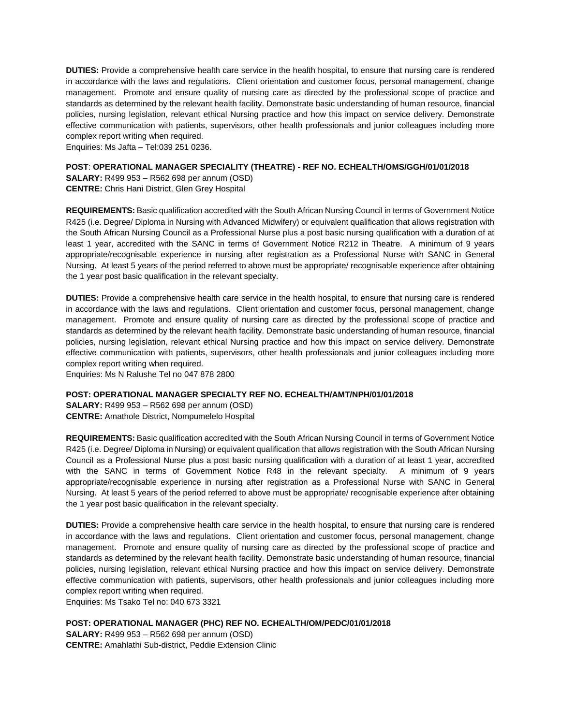**DUTIES:** Provide a comprehensive health care service in the health hospital, to ensure that nursing care is rendered in accordance with the laws and regulations. Client orientation and customer focus, personal management, change management. Promote and ensure quality of nursing care as directed by the professional scope of practice and standards as determined by the relevant health facility. Demonstrate basic understanding of human resource, financial policies, nursing legislation, relevant ethical Nursing practice and how this impact on service delivery. Demonstrate effective communication with patients, supervisors, other health professionals and junior colleagues including more complex report writing when required.

Enquiries: Ms Jafta – <Tel:039> 251 0236.

### **POST**: **OPERATIONAL MANAGER SPECIALITY (THEATRE) - REF NO. ECHEALTH/OMS/GGH/01/01/2018**

**SALARY:** R499 953 – R562 698 per annum (OSD) **CENTRE:** Chris Hani District, Glen Grey Hospital

**REQUIREMENTS:** Basic qualification accredited with the South African Nursing Council in terms of Government Notice R425 (i.e. Degree/ Diploma in Nursing with Advanced Midwifery) or equivalent qualification that allows registration with the South African Nursing Council as a Professional Nurse plus a post basic nursing qualification with a duration of at least 1 year, accredited with the SANC in terms of Government Notice R212 in Theatre. A minimum of 9 years appropriate/recognisable experience in nursing after registration as a Professional Nurse with SANC in General Nursing. At least 5 years of the period referred to above must be appropriate/ recognisable experience after obtaining the 1 year post basic qualification in the relevant specialty.

**DUTIES:** Provide a comprehensive health care service in the health hospital, to ensure that nursing care is rendered in accordance with the laws and regulations. Client orientation and customer focus, personal management, change management. Promote and ensure quality of nursing care as directed by the professional scope of practice and standards as determined by the relevant health facility. Demonstrate basic understanding of human resource, financial policies, nursing legislation, relevant ethical Nursing practice and how this impact on service delivery. Demonstrate effective communication with patients, supervisors, other health professionals and junior colleagues including more complex report writing when required.

Enquiries: Ms N Ralushe Tel no 047 878 2800

### **POST: OPERATIONAL MANAGER SPECIALTY REF NO. ECHEALTH/AMT/NPH/01/01/2018**

**SALARY:** R499 953 – R562 698 per annum (OSD) **CENTRE:** Amathole District, Nompumelelo Hospital

**REQUIREMENTS:** Basic qualification accredited with the South African Nursing Council in terms of Government Notice R425 (i.e. Degree/ Diploma in Nursing) or equivalent qualification that allows registration with the South African Nursing Council as a Professional Nurse plus a post basic nursing qualification with a duration of at least 1 year, accredited with the SANC in terms of Government Notice R48 in the relevant specialty. A minimum of 9 years appropriate/recognisable experience in nursing after registration as a Professional Nurse with SANC in General Nursing. At least 5 years of the period referred to above must be appropriate/ recognisable experience after obtaining the 1 year post basic qualification in the relevant specialty.

**DUTIES:** Provide a comprehensive health care service in the health hospital, to ensure that nursing care is rendered in accordance with the laws and regulations. Client orientation and customer focus, personal management, change management. Promote and ensure quality of nursing care as directed by the professional scope of practice and standards as determined by the relevant health facility. Demonstrate basic understanding of human resource, financial policies, nursing legislation, relevant ethical Nursing practice and how this impact on service delivery. Demonstrate effective communication with patients, supervisors, other health professionals and junior colleagues including more complex report writing when required.

Enquiries: Ms Tsako Tel no: 040 673 3321

### **POST: OPERATIONAL MANAGER (PHC) REF NO. ECHEALTH/OM/PEDC/01/01/2018**

**SALARY:** R499 953 – R562 698 per annum (OSD) **CENTRE:** Amahlathi Sub-district, Peddie Extension Clinic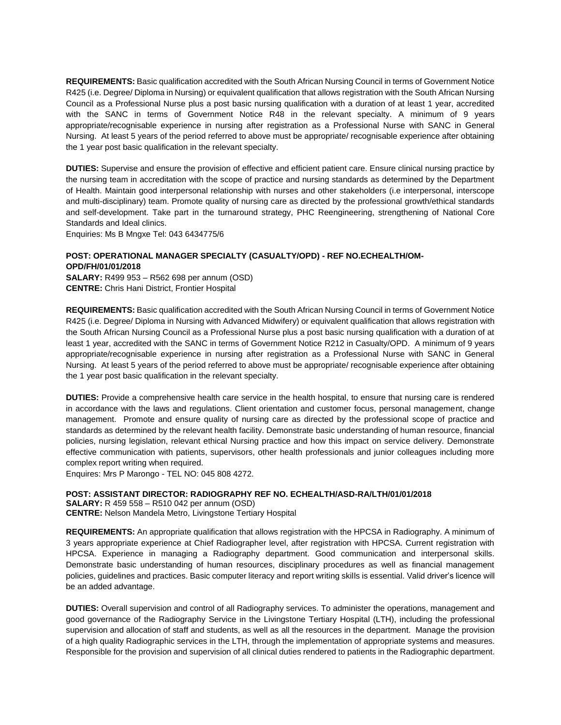**REQUIREMENTS:** Basic qualification accredited with the South African Nursing Council in terms of Government Notice R425 (i.e. Degree/ Diploma in Nursing) or equivalent qualification that allows registration with the South African Nursing Council as a Professional Nurse plus a post basic nursing qualification with a duration of at least 1 year, accredited with the SANC in terms of Government Notice R48 in the relevant specialty. A minimum of 9 years appropriate/recognisable experience in nursing after registration as a Professional Nurse with SANC in General Nursing. At least 5 years of the period referred to above must be appropriate/ recognisable experience after obtaining the 1 year post basic qualification in the relevant specialty.

**DUTIES:** Supervise and ensure the provision of effective and efficient patient care. Ensure clinical nursing practice by the nursing team in accreditation with the scope of practice and nursing standards as determined by the Department of Health. Maintain good interpersonal relationship with nurses and other stakeholders (i.e interpersonal, interscope and multi-disciplinary) team. Promote quality of nursing care as directed by the professional growth/ethical standards and self-development. Take part in the turnaround strategy, PHC Reengineering, strengthening of National Core Standards and Ideal clinics.

Enquiries: Ms B Mngxe Tel: 043 6434775/6

# **POST: OPERATIONAL MANAGER SPECIALTY (CASUALTY/OPD) - REF NO.ECHEALTH/OM-OPD/FH/01/01/2018**

**SALARY:** R499 953 – R562 698 per annum (OSD) **CENTRE:** Chris Hani District, Frontier Hospital

**REQUIREMENTS:** Basic qualification accredited with the South African Nursing Council in terms of Government Notice R425 (i.e. Degree/ Diploma in Nursing with Advanced Midwifery) or equivalent qualification that allows registration with the South African Nursing Council as a Professional Nurse plus a post basic nursing qualification with a duration of at least 1 year, accredited with the SANC in terms of Government Notice R212 in Casualty/OPD. A minimum of 9 years appropriate/recognisable experience in nursing after registration as a Professional Nurse with SANC in General Nursing. At least 5 years of the period referred to above must be appropriate/ recognisable experience after obtaining the 1 year post basic qualification in the relevant specialty.

**DUTIES:** Provide a comprehensive health care service in the health hospital, to ensure that nursing care is rendered in accordance with the laws and regulations. Client orientation and customer focus, personal management, change management. Promote and ensure quality of nursing care as directed by the professional scope of practice and standards as determined by the relevant health facility. Demonstrate basic understanding of human resource, financial policies, nursing legislation, relevant ethical Nursing practice and how this impact on service delivery. Demonstrate effective communication with patients, supervisors, other health professionals and junior colleagues including more complex report writing when required.

Enquires: Mrs P Marongo - TEL NO: 045 808 4272.

**POST: ASSISTANT DIRECTOR: RADIOGRAPHY REF NO. ECHEALTH/ASD-RA/LTH/01/01/2018 SALARY:** R 459 558 – R510 042 per annum (OSD) **CENTRE:** Nelson Mandela Metro, Livingstone Tertiary Hospital

**REQUIREMENTS:** An appropriate qualification that allows registration with the HPCSA in Radiography. A minimum of 3 years appropriate experience at Chief Radiographer level, after registration with HPCSA. Current registration with HPCSA. Experience in managing a Radiography department. Good communication and interpersonal skills. Demonstrate basic understanding of human resources, disciplinary procedures as well as financial management policies, guidelines and practices. Basic computer literacy and report writing skills is essential. Valid driver's licence will be an added advantage.

**DUTIES:** Overall supervision and control of all Radiography services. To administer the operations, management and good governance of the Radiography Service in the Livingstone Tertiary Hospital (LTH), including the professional supervision and allocation of staff and students, as well as all the resources in the department. Manage the provision of a high quality Radiographic services in the LTH, through the implementation of appropriate systems and measures. Responsible for the provision and supervision of all clinical duties rendered to patients in the Radiographic department.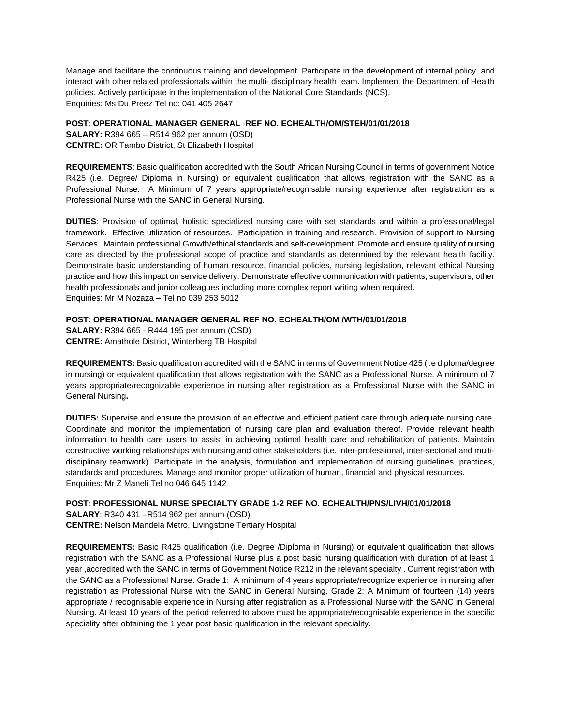Manage and facilitate the continuous training and development. Participate in the development of internal policy, and interact with other related professionals within the multi- disciplinary health team. Implement the Department of Health policies. Actively participate in the implementation of the National Core Standards (NCS). Enquiries: Ms Du Preez Tel no: 041 405 2647

### **POST**: **OPERATIONAL MANAGER GENERAL** -**REF NO. ECHEALTH/OM/STEH/01/01/2018**

**SALARY:** R394 665 – R514 962 per annum (OSD) **CENTRE:** OR Tambo District, St Elizabeth Hospital

**REQUIREMENTS**: Basic qualification accredited with the South African Nursing Council in terms of government Notice R425 (i.e. Degree/ Diploma in Nursing) or equivalent qualification that allows registration with the SANC as a Professional Nurse. A Minimum of 7 years appropriate/recognisable nursing experience after registration as a Professional Nurse with the SANC in General Nursing.

**DUTIES**: Provision of optimal, holistic specialized nursing care with set standards and within a professional/legal framework. Effective utilization of resources. Participation in training and research. Provision of support to Nursing Services. Maintain professional Growth/ethical standards and self-development. Promote and ensure quality of nursing care as directed by the professional scope of practice and standards as determined by the relevant health facility. Demonstrate basic understanding of human resource, financial policies, nursing legislation, relevant ethical Nursing practice and how this impact on service delivery. Demonstrate effective communication with patients, supervisors, other health professionals and junior colleagues including more complex report writing when required. Enquiries: Mr M Nozaza – Tel no 039 253 5012

### **POST: OPERATIONAL MANAGER GENERAL REF NO. ECHEALTH/OM /WTH/01/01/2018**

**SALARY:** R394 665 - R444 195 per annum (OSD) **CENTRE:** Amathole District, Winterberg TB Hospital

**REQUIREMENTS:** Basic qualification accredited with the SANC in terms of Government Notice 425 (i.e diploma/degree in nursing) or equivalent qualification that allows registration with the SANC as a Professional Nurse. A minimum of 7 years appropriate/recognizable experience in nursing after registration as a Professional Nurse with the SANC in General Nursing**.** 

**DUTIES:** Supervise and ensure the provision of an effective and efficient patient care through adequate nursing care. Coordinate and monitor the implementation of nursing care plan and evaluation thereof. Provide relevant health information to health care users to assist in achieving optimal health care and rehabilitation of patients. Maintain constructive working relationships with nursing and other stakeholders (i.e. inter-professional, inter-sectorial and multidisciplinary teamwork). Participate in the analysis, formulation and implementation of nursing guidelines, practices, standards and procedures. Manage and monitor proper utilization of human, financial and physical resources. Enquiries: Mr Z Maneli Tel no 046 645 1142

# **POST**: **PROFESSIONAL NURSE SPECIALTY GRADE 1-2 REF NO. ECHEALTH/PNS/LIVH/01/01/2018**

**SALARY**: R340 431 –R514 962 per annum (OSD)

**CENTRE:** Nelson Mandela Metro, Livingstone Tertiary Hospital

**REQUIREMENTS:** Basic R425 qualification (i.e. Degree /Diploma in Nursing) or equivalent qualification that allows registration with the SANC as a Professional Nurse plus a post basic nursing qualification with duration of at least 1 year ,accredited with the SANC in terms of Government Notice R212 in the relevant specialty . Current registration with the SANC as a Professional Nurse. Grade 1: A minimum of 4 years appropriate/recognize experience in nursing after registration as Professional Nurse with the SANC in General Nursing. Grade 2: A Minimum of fourteen (14) years appropriate / recognisable experience in Nursing after registration as a Professional Nurse with the SANC in General Nursing. At least 10 years of the period referred to above must be appropriate/recognisable experience in the specific speciality after obtaining the 1 year post basic qualification in the relevant speciality.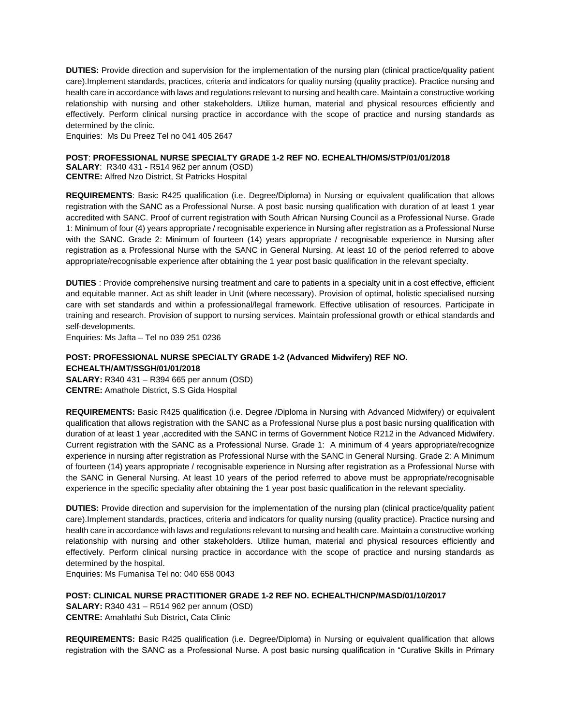**DUTIES:** Provide direction and supervision for the implementation of the nursing plan (clinical practice/quality patient care).Implement standards, practices, criteria and indicators for quality nursing (quality practice). Practice nursing and health care in accordance with laws and regulations relevant to nursing and health care. Maintain a constructive working relationship with nursing and other stakeholders. Utilize human, material and physical resources efficiently and effectively. Perform clinical nursing practice in accordance with the scope of practice and nursing standards as determined by the clinic.

Enquiries: Ms Du Preez Tel no 041 405 2647

#### **POST**: **PROFESSIONAL NURSE SPECIALTY GRADE 1-2 REF NO. ECHEALTH/OMS/STP/01/01/2018**

**SALARY**: R340 431 - R514 962 per annum (OSD) **CENTRE:** Alfred Nzo District, St Patricks Hospital

**REQUIREMENTS**: Basic R425 qualification (i.e. Degree/Diploma) in Nursing or equivalent qualification that allows registration with the SANC as a Professional Nurse. A post basic nursing qualification with duration of at least 1 year accredited with SANC. Proof of current registration with South African Nursing Council as a Professional Nurse. Grade 1: Minimum of four (4) years appropriate / recognisable experience in Nursing after registration as a Professional Nurse with the SANC. Grade 2: Minimum of fourteen (14) years appropriate / recognisable experience in Nursing after registration as a Professional Nurse with the SANC in General Nursing. At least 10 of the period referred to above appropriate/recognisable experience after obtaining the 1 year post basic qualification in the relevant specialty.

**DUTIES** : Provide comprehensive nursing treatment and care to patients in a specialty unit in a cost effective, efficient and equitable manner. Act as shift leader in Unit (where necessary). Provision of optimal, holistic specialised nursing care with set standards and within a professional/legal framework. Effective utilisation of resources. Participate in training and research. Provision of support to nursing services. Maintain professional growth or ethical standards and self-developments.

Enquiries: Ms Jafta – Tel [no 039](Tel:039) 251 0236

### **POST: PROFESSIONAL NURSE SPECIALTY GRADE 1-2 (Advanced Midwifery) REF NO. ECHEALTH/AMT/SSGH/01/01/2018**

**SALARY:** R340 431 – R394 665 per annum (OSD) **CENTRE:** Amathole District, S.S Gida Hospital

**REQUIREMENTS:** Basic R425 qualification (i.e. Degree /Diploma in Nursing with Advanced Midwifery) or equivalent qualification that allows registration with the SANC as a Professional Nurse plus a post basic nursing qualification with duration of at least 1 year ,accredited with the SANC in terms of Government Notice R212 in the Advanced Midwifery. Current registration with the SANC as a Professional Nurse. Grade 1: A minimum of 4 years appropriate/recognize experience in nursing after registration as Professional Nurse with the SANC in General Nursing. Grade 2: A Minimum of fourteen (14) years appropriate / recognisable experience in Nursing after registration as a Professional Nurse with the SANC in General Nursing. At least 10 years of the period referred to above must be appropriate/recognisable experience in the specific speciality after obtaining the 1 year post basic qualification in the relevant speciality.

**DUTIES:** Provide direction and supervision for the implementation of the nursing plan (clinical practice/quality patient care).Implement standards, practices, criteria and indicators for quality nursing (quality practice). Practice nursing and health care in accordance with laws and regulations relevant to nursing and health care. Maintain a constructive working relationship with nursing and other stakeholders. Utilize human, material and physical resources efficiently and effectively. Perform clinical nursing practice in accordance with the scope of practice and nursing standards as determined by the hospital.

Enquiries: Ms Fumanisa Tel no: 040 658 0043

**POST: CLINICAL NURSE PRACTITIONER GRADE 1-2 REF NO. ECHEALTH/CNP/MASD/01/10/2017 SALARY:** R340 431 – R514 962 per annum (OSD) **CENTRE:** Amahlathi Sub District**,** Cata Clinic

**REQUIREMENTS:** Basic R425 qualification (i.e. Degree/Diploma) in Nursing or equivalent qualification that allows registration with the SANC as a Professional Nurse. A post basic nursing qualification in "Curative Skills in Primary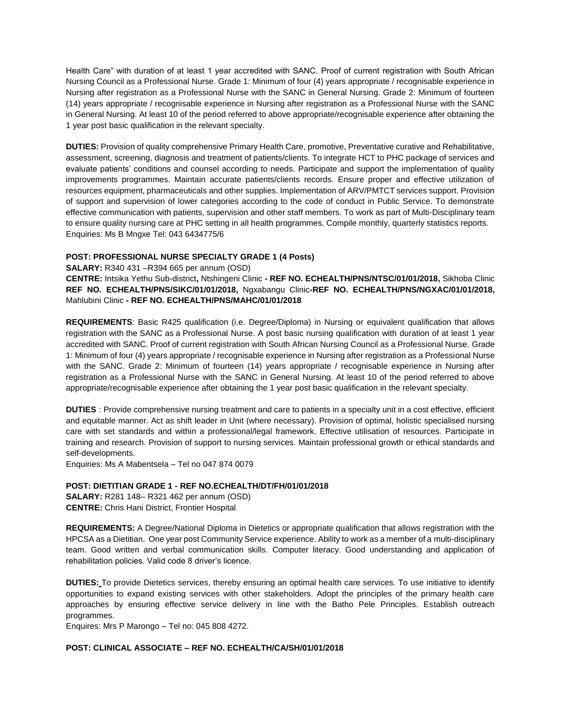Health Care" with duration of at least 1 year accredited with SANC. Proof of current registration with South African Nursing Council as a Professional Nurse. Grade 1: Minimum of four (4) years appropriate / recognisable experience in Nursing after registration as a Professional Nurse with the SANC in General Nursing. Grade 2: Minimum of fourteen (14) years appropriate / recognisable experience in Nursing after registration as a Professional Nurse with the SANC in General Nursing. At least 10 of the period referred to above appropriate/recognisable experience after obtaining the 1 year post basic qualification in the relevant specialty.

**DUTIES:** Provision of quality comprehensive Primary Health Care, promotive, Preventative curative and Rehabilitative, assessment, screening, diagnosis and treatment of patients/clients. To integrate HCT to PHC package of services and evaluate patients' conditions and counsel according to needs. Participate and support the implementation of quality improvements programmes. Maintain accurate patients/clients records. Ensure proper and effective utilization of resources equipment, pharmaceuticals and other supplies. Implementation of ARV/PMTCT services support. Provision of support and supervision of lower categories according to the code of conduct in Public Service. To demonstrate effective communication with patients, supervision and other staff members. To work as part of Multi-Disciplinary team to ensure quality nursing care at PHC setting in all health programmes. Compile monthly, quarterly statistics reports. Enquiries: Ms B Mngxe Tel: 043 6434775/6

### **POST: PROFESSIONAL NURSE SPECIALTY GRADE 1 (4 Posts)**

**SALARY:** R340 431 –R394 665 per annum (OSD)

**CENTRE:** Intsika Yethu Sub-district**,** Ntshingeni Clinic **- REF NO. ECHEALTH/PNS/NTSC/01/01/2018,** Sikhoba Clinic **REF NO. ECHEALTH/PNS/SIKC/01/01/2018,** Ngxabangu Clinic**-REF NO. ECHEALTH/PNS/NGXAC/01/01/2018,**  Mahlubini Clinic **- REF NO. ECHEALTH/PNS/MAHC/01/01/2018**

**REQUIREMENTS**: Basic R425 qualification (i.e. Degree/Diploma) in Nursing or equivalent qualification that allows registration with the SANC as a Professional Nurse. A post basic nursing qualification with duration of at least 1 year accredited with SANC. Proof of current registration with South African Nursing Council as a Professional Nurse. Grade 1: Minimum of four (4) years appropriate / recognisable experience in Nursing after registration as a Professional Nurse with the SANC. Grade 2: Minimum of fourteen (14) years appropriate / recognisable experience in Nursing after registration as a Professional Nurse with the SANC in General Nursing. At least 10 of the period referred to above appropriate/recognisable experience after obtaining the 1 year post basic qualification in the relevant specialty.

**DUTIES** : Provide comprehensive nursing treatment and care to patients in a specialty unit in a cost effective, efficient and equitable manner. Act as shift leader in Unit (where necessary). Provision of optimal, holistic specialised nursing care with set standards and within a professional/legal framework. Effective utilisation of resources. Participate in training and research. Provision of support to nursing services. Maintain professional growth or ethical standards and self-developments.

Enquiries: Ms A Mabentsela – Tel no 047 874 0079

# **POST: DIETITIAN GRADE 1 - REF NO.ECHEALTH/DT/FH/01/01/2018**

**SALARY:** R281 148– R321 462 per annum (OSD) **CENTRE:** Chris Hani District, Frontier Hospital

**REQUIREMENTS:** A Degree/National Diploma in Dietetics or appropriate qualification that allows registration with the HPCSA as a Dietitian. One year post Community Service experience. Ability to work as a member of a multi-disciplinary team. Good written and verbal communication skills. Computer literacy. Good understanding and application of rehabilitation policies. Valid code 8 driver's licence.

**DUTIES:** To provide Dietetics services, thereby ensuring an optimal health care services. To use initiative to identify opportunities to expand existing services with other stakeholders. Adopt the principles of the primary health care approaches by ensuring effective service delivery in line with the Batho Pele Principles. Establish outreach programmes.

Enquires: Mrs P Marongo – Tel no: 045 808 4272.

### **POST: CLINICAL ASSOCIATE – REF NO. ECHEALTH/CA/SH/01/01/2018**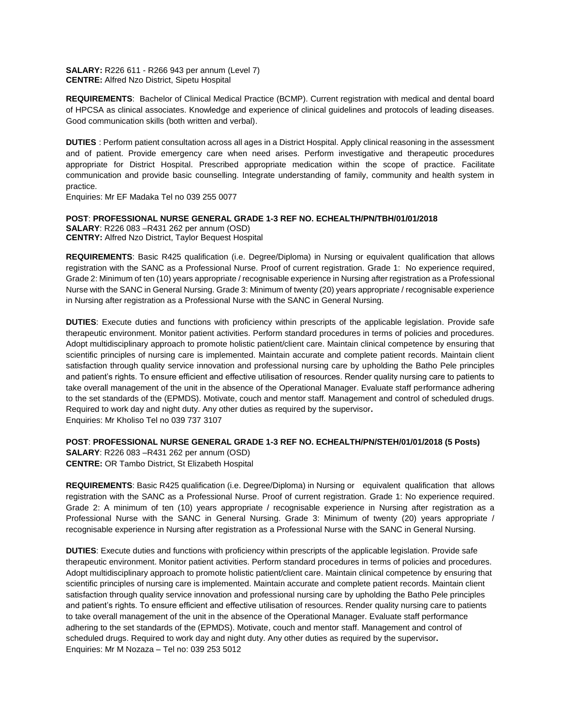**SALARY:** R226 611 - R266 943 per annum (Level 7) **CENTRE:** Alfred Nzo District, Sipetu Hospital

**REQUIREMENTS**: Bachelor of Clinical Medical Practice (BCMP). Current registration with medical and dental board of HPCSA as clinical associates. Knowledge and experience of clinical guidelines and protocols of leading diseases. Good communication skills (both written and verbal).

**DUTIES** : Perform patient consultation across all ages in a District Hospital. Apply clinical reasoning in the assessment and of patient. Provide emergency care when need arises. Perform investigative and therapeutic procedures appropriate for District Hospital. Prescribed appropriate medication within the scope of practice. Facilitate communication and provide basic counselling. Integrate understanding of family, community and health system in practice.

Enquiries: Mr EF Madaka Tel no 039 255 0077

**POST**: **PROFESSIONAL NURSE GENERAL GRADE 1-3 REF NO. ECHEALTH/PN/TBH/01/01/2018 SALARY**: R226 083 –R431 262 per annum (OSD) **CENTRY:** Alfred Nzo District, Taylor Bequest Hospital

**REQUIREMENTS**: Basic R425 qualification (i.e. Degree/Diploma) in Nursing or equivalent qualification that allows registration with the SANC as a Professional Nurse. Proof of current registration. Grade 1: No experience required, Grade 2: Minimum of ten (10) years appropriate / recognisable experience in Nursing after registration as a Professional Nurse with the SANC in General Nursing. Grade 3: Minimum of twenty (20) years appropriate / recognisable experience in Nursing after registration as a Professional Nurse with the SANC in General Nursing.

**DUTIES**: Execute duties and functions with proficiency within prescripts of the applicable legislation. Provide safe therapeutic environment. Monitor patient activities. Perform standard procedures in terms of policies and procedures. Adopt multidisciplinary approach to promote holistic patient/client care. Maintain clinical competence by ensuring that scientific principles of nursing care is implemented. Maintain accurate and complete patient records. Maintain client satisfaction through quality service innovation and professional nursing care by upholding the Batho Pele principles and patient's rights. To ensure efficient and effective utilisation of resources. Render quality nursing care to patients to take overall management of the unit in the absence of the Operational Manager. Evaluate staff performance adhering to the set standards of the (EPMDS). Motivate, couch and mentor staff. Management and control of scheduled drugs. Required to work day and night duty. Any other duties as required by the supervisor**.** Enquiries: Mr Kholiso Tel no 039 737 3107

**POST**: **PROFESSIONAL NURSE GENERAL GRADE 1-3 REF NO. ECHEALTH/PN/STEH/01/01/2018 (5 Posts)**

**SALARY**: R226 083 –R431 262 per annum (OSD) **CENTRE:** OR Tambo District, St Elizabeth Hospital

**REQUIREMENTS**: Basic R425 qualification (i.e. Degree/Diploma) in Nursing or equivalent qualification that allows registration with the SANC as a Professional Nurse. Proof of current registration. Grade 1: No experience required. Grade 2: A minimum of ten (10) years appropriate / recognisable experience in Nursing after registration as a Professional Nurse with the SANC in General Nursing. Grade 3: Minimum of twenty (20) years appropriate / recognisable experience in Nursing after registration as a Professional Nurse with the SANC in General Nursing.

**DUTIES**: Execute duties and functions with proficiency within prescripts of the applicable legislation. Provide safe therapeutic environment. Monitor patient activities. Perform standard procedures in terms of policies and procedures. Adopt multidisciplinary approach to promote holistic patient/client care. Maintain clinical competence by ensuring that scientific principles of nursing care is implemented. Maintain accurate and complete patient records. Maintain client satisfaction through quality service innovation and professional nursing care by upholding the Batho Pele principles and patient's rights. To ensure efficient and effective utilisation of resources. Render quality nursing care to patients to take overall management of the unit in the absence of the Operational Manager. Evaluate staff performance adhering to the set standards of the (EPMDS). Motivate, couch and mentor staff. Management and control of scheduled drugs. Required to work day and night duty. Any other duties as required by the supervisor**.** Enquiries: Mr M Nozaza – Tel no: 039 253 5012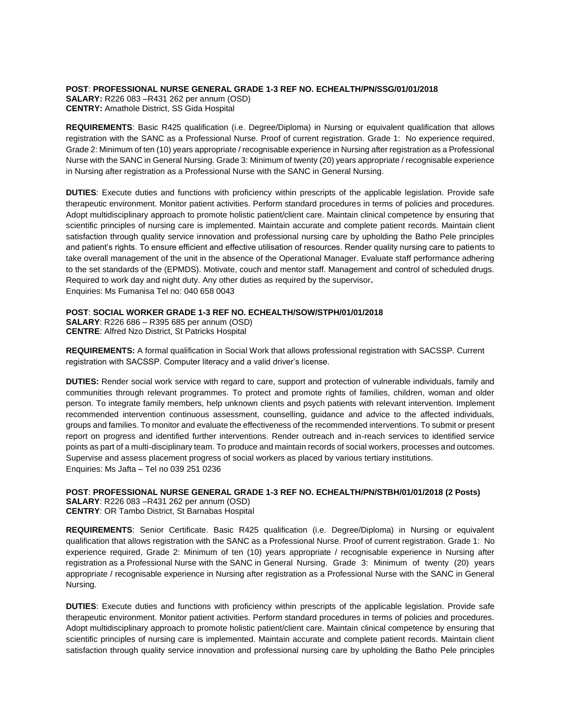**POST**: **PROFESSIONAL NURSE GENERAL GRADE 1-3 REF NO. ECHEALTH/PN/SSG/01/01/2018 SALARY:** R226 083 –R431 262 per annum (OSD) **CENTRY:** Amathole District, SS Gida Hospital

**REQUIREMENTS**: Basic R425 qualification (i.e. Degree/Diploma) in Nursing or equivalent qualification that allows registration with the SANC as a Professional Nurse. Proof of current registration. Grade 1: No experience required, Grade 2: Minimum of ten (10) years appropriate / recognisable experience in Nursing after registration as a Professional Nurse with the SANC in General Nursing. Grade 3: Minimum of twenty (20) years appropriate / recognisable experience in Nursing after registration as a Professional Nurse with the SANC in General Nursing.

**DUTIES**: Execute duties and functions with proficiency within prescripts of the applicable legislation. Provide safe therapeutic environment. Monitor patient activities. Perform standard procedures in terms of policies and procedures. Adopt multidisciplinary approach to promote holistic patient/client care. Maintain clinical competence by ensuring that scientific principles of nursing care is implemented. Maintain accurate and complete patient records. Maintain client satisfaction through quality service innovation and professional nursing care by upholding the Batho Pele principles and patient's rights. To ensure efficient and effective utilisation of resources. Render quality nursing care to patients to take overall management of the unit in the absence of the Operational Manager. Evaluate staff performance adhering to the set standards of the (EPMDS). Motivate, couch and mentor staff. Management and control of scheduled drugs. Required to work day and night duty. Any other duties as required by the supervisor**.** Enquiries: Ms Fumanisa Tel no: 040 658 0043

#### **POST**: **SOCIAL WORKER GRADE 1-3 REF NO. ECHEALTH/SOW/STPH/01/01/2018**

**SALARY**: R226 686 – R395 685 per annum (OSD) **CENTRE**: Alfred Nzo District, St Patricks Hospital

**REQUIREMENTS:** A formal qualification in Social Work that allows professional registration with SACSSP. Current registration with SACSSP. Computer literacy and a valid driver's license.

**DUTIES:** Render social work service with regard to care, support and protection of vulnerable individuals, family and communities through relevant programmes. To protect and promote rights of families, children, woman and older person. To integrate family members, help unknown clients and psych patients with relevant intervention. Implement recommended intervention continuous assessment, counselling, guidance and advice to the affected individuals, groups and families. To monitor and evaluate the effectiveness of the recommended interventions. To submit or present report on progress and identified further interventions. Render outreach and in-reach services to identified service points as part of a multi-disciplinary team. To produce and maintain records of social workers, processes and outcomes. Supervise and assess placement progress of social workers as placed by various tertiary institutions. Enquiries: Ms Jafta – [Tel no 039](Tel:039) 251 0236

**POST**: **PROFESSIONAL NURSE GENERAL GRADE 1-3 REF NO. ECHEALTH/PN/STBH/01/01/2018 (2 Posts) SALARY**: R226 083 –R431 262 per annum (OSD) **CENTRY**: OR Tambo District, St Barnabas Hospital

**REQUIREMENTS**: Senior Certificate. Basic R425 qualification (i.e. Degree/Diploma) in Nursing or equivalent qualification that allows registration with the SANC as a Professional Nurse. Proof of current registration. Grade 1: No experience required, Grade 2: Minimum of ten (10) years appropriate / recognisable experience in Nursing after registration as a Professional Nurse with the SANC in General Nursing. Grade 3: Minimum of twenty (20) years appropriate / recognisable experience in Nursing after registration as a Professional Nurse with the SANC in General Nursing.

**DUTIES**: Execute duties and functions with proficiency within prescripts of the applicable legislation. Provide safe therapeutic environment. Monitor patient activities. Perform standard procedures in terms of policies and procedures. Adopt multidisciplinary approach to promote holistic patient/client care. Maintain clinical competence by ensuring that scientific principles of nursing care is implemented. Maintain accurate and complete patient records. Maintain client satisfaction through quality service innovation and professional nursing care by upholding the Batho Pele principles